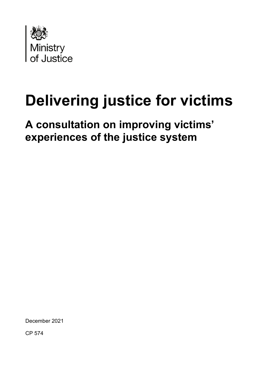

# **Delivering justice for victims**

**A consultation on improving victims' experiences of the justice system**

December 2021

CP 574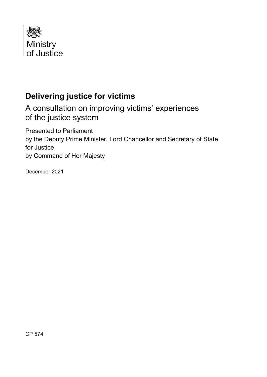

## **Delivering justice for victims**

A consultation on improving victims' experiences of the justice system

Presented to Parliament by the Deputy Prime Minister, Lord Chancellor and Secretary of State for Justice by Command of Her Majesty

December 2021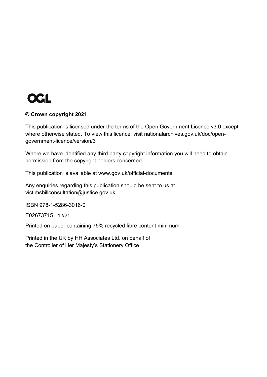

#### **© Crown copyright 2021**

This publication is licensed under the terms of the Open Government Licence v3.0 except where otherwise stated. To view this licence, visit [nationalarchives.gov.uk/doc/open](http://nationalarchives.gov.uk/doc/open-government-licence/version/3/)[government-licence/version/3](http://nationalarchives.gov.uk/doc/open-government-licence/version/3/)

Where we have identified any third party copyright information you will need to obtain permission from the copyright holders concerned.

This publication is available at [www.gov.uk/official-documents](http://www.gov.uk/official-documents)

Any enquiries regarding this publication should be sent to us at [victimsbillconsultation@justice.gov.uk](mailto:victimsbillconsultation@justice.gov.uk) 

ISBN 978-1-5286-3016-0

E02673715 12/21

Printed on paper containing 75% recycled fibre content minimum

Printed in the UK by HH Associates Ltd. on behalf of the Controller of Her Majesty's Stationery Office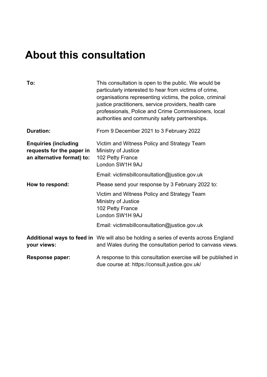## **About this consultation**

| To:                                                                                    | This consultation is open to the public. We would be<br>particularly interested to hear from victims of crime,<br>organisations representing victims, the police, criminal<br>justice practitioners, service providers, health care<br>professionals, Police and Crime Commissioners, local<br>authorities and community safety partnerships. |
|----------------------------------------------------------------------------------------|-----------------------------------------------------------------------------------------------------------------------------------------------------------------------------------------------------------------------------------------------------------------------------------------------------------------------------------------------|
| <b>Duration:</b>                                                                       | From 9 December 2021 to 3 February 2022                                                                                                                                                                                                                                                                                                       |
| <b>Enquiries (including</b><br>requests for the paper in<br>an alternative format) to: | Victim and Witness Policy and Strategy Team<br>Ministry of Justice<br>102 Petty France<br>London SW1H 9AJ                                                                                                                                                                                                                                     |
|                                                                                        | Email: victimsbillconsultation@justice.gov.uk                                                                                                                                                                                                                                                                                                 |
| How to respond:                                                                        | Please send your response by 3 February 2022 to:                                                                                                                                                                                                                                                                                              |
|                                                                                        | Victim and Witness Policy and Strategy Team<br>Ministry of Justice<br>102 Petty France<br>London SW1H 9AJ                                                                                                                                                                                                                                     |
|                                                                                        | Email: victimsbillconsultation@justice.gov.uk                                                                                                                                                                                                                                                                                                 |
| your views:                                                                            | Additional ways to feed in We will also be holding a series of events across England<br>and Wales during the consultation period to canvass views.                                                                                                                                                                                            |
| <b>Response paper:</b>                                                                 | A response to this consultation exercise will be published in<br>due course at: https://consult.justice.gov.uk/                                                                                                                                                                                                                               |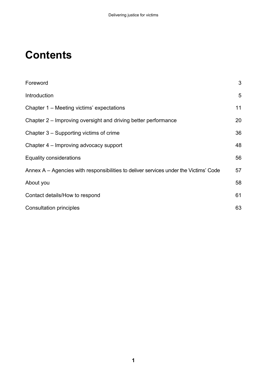## **Contents**

| Foreword                                                                             | 3  |
|--------------------------------------------------------------------------------------|----|
| Introduction                                                                         | 5  |
| Chapter 1 – Meeting victims' expectations                                            | 11 |
| Chapter 2 – Improving oversight and driving better performance                       | 20 |
| Chapter 3 – Supporting victims of crime                                              | 36 |
| Chapter 4 – Improving advocacy support                                               | 48 |
| <b>Equality considerations</b>                                                       | 56 |
| Annex A – Agencies with responsibilities to deliver services under the Victims' Code | 57 |
| About you                                                                            | 58 |
| Contact details/How to respond                                                       | 61 |
| <b>Consultation principles</b>                                                       | 63 |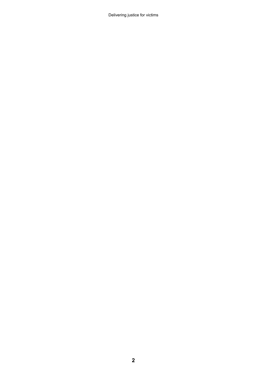Delivering justice for victims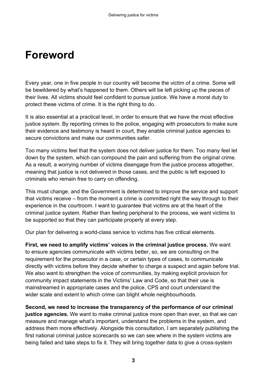## <span id="page-6-0"></span>**Foreword**

Every year, one in five people in our country will become the victim of a crime. Some will be bewildered by what's happened to them. Others will be left picking up the pieces of their lives. All victims should feel confident to pursue justice. We have a moral duty to protect these victims of crime. It is the right thing to do.

It is also essential at a practical level, in order to ensure that we have the most effective justice system. By reporting crimes to the police, engaging with prosecutors to make sure their evidence and testimony is heard in court, they enable criminal justice agencies to secure convictions and make our communities safer.

Too many victims feel that the system does not deliver justice for them. Too many feel let down by the system, which can compound the pain and suffering from the original crime. As a result, a worrying number of victims disengage from the justice process altogether, meaning that justice is not delivered in those cases, and the public is left exposed to criminals who remain free to carry on offending.

This must change, and the Government is determined to improve the service and support that victims receive – from the moment a crime is committed right the way through to their experience in the courtroom. I want to guarantee that victims are at the heart of the criminal justice system. Rather than feeling peripheral to the process, we want victims to be supported so that they can participate properly at every step.

Our plan for delivering a world-class service to victims has five critical elements.

**First, we need to amplify victims' voices in the criminal justice process.** We want to ensure agencies communicate with victims better, so, we are consulting on the requirement for the prosecutor in a case, or certain types of cases, to communicate directly with victims before they decide whether to charge a suspect and again before trial. We also want to strengthen the voice of communities, by making explicit provision for community impact statements in the Victims' Law and Code, so that their use is mainstreamed in appropriate cases and the police, CPS and court understand the wider scale and extent to which crime can blight whole neighbourhoods.

**Second, we need to increase the transparency of the performance of our criminal justice agencies.** We want to make criminal justice more open than ever, so that we can measure and manage what's important, understand the problems in the system, and address them more effectively. Alongside this consultation, I am separately publishing the first national criminal justice scorecards so we can see where in the system victims are being failed and take steps to fix it. They will bring together data to give a cross-system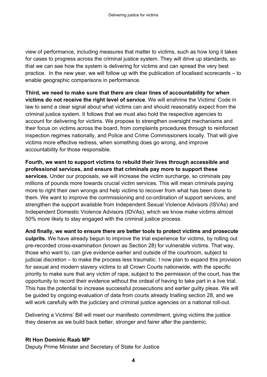view of performance, including measures that matter to victims, such as how long it takes for cases to progress across the criminal justice system. They will drive up standards, so that we can see how the system is delivering for victims and can spread the very best practice. In the new year, we will follow up with the publication of localised scorecards – to enable geographic comparisons in performance.

**Third, we need to make sure that there are clear lines of accountability for when victims do not receive the right level of service**. We will enshrine the Victims' Code in law to send a clear signal about what victims can and should reasonably expect from the criminal justice system. It follows that we must also hold the respective agencies to account for delivering for victims. We propose to strengthen oversight mechanisms and their focus on victims across the board, from complaints procedures through to reinforced inspection regimes nationally, and Police and Crime Commissioners locally. That will give victims more effective redress, when something does go wrong, and improve accountability for those responsible.

**Fourth, we want to support victims to rebuild their lives through accessible and professional services, and ensure that criminals pay more to support these services.** Under our proposals, we will increase the victim surcharge, so criminals pay millions of pounds more towards crucial victim services. This will mean criminals paying more to right their own wrongs and help victims to recover from what has been done to them. We want to improve the commissioning and co-ordination of support services, and strengthen the support available from Independent Sexual Violence Advisors (ISVAs) and Independent Domestic Violence Advisors (IDVAs), which we know make victims almost 50% more likely to stay engaged with the criminal justice process.

**And finally, we want to ensure there are better tools to protect victims and prosecute culprits.** We have already begun to improve the trial experience for victims, by rolling out pre-recorded cross-examination (known as Section 28) for vulnerable victims. That way, those who want to, can give evidence earlier and outside of the courtroom, subject to judicial discretion – to make the process less traumatic. I now plan to expand this provision for sexual and modern slavery victims to all Crown Courts nationwide, with the specific priority to make sure that any victim of rape, subject to the permission of the court, has the opportunity to record their evidence without the ordeal of having to take part in a live trial. This has the potential to increase successful prosecutions and earlier guilty pleas. We will be guided by ongoing evaluation of data from courts already trialling section 28, and we will work carefully with the judiciary and criminal justice agencies on a national roll-out.

Delivering a Victims' Bill will meet our manifesto commitment, giving victims the justice they deserve as we build back better, stronger and fairer after the pandemic.

#### **Rt Hon Dominic Raab MP**

Deputy Prime Minister and Secretary of State for Justice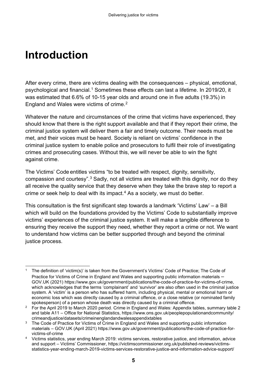## <span id="page-8-0"></span>**Introduction**

After every crime, there are victims dealing with the consequences – physical, emotional, psychological and financial.[1](#page-8-1) Sometimes these effects can last a lifetime. In 2019/20, it was estimated that 6.6% of 10-15 year olds and around one in five adults (19.3%) in England and Wales were victims of crime.<sup>[2](#page-8-2)</sup>

Whatever the nature and circumstances of the crime that victims have experienced, they should know that there is the right support available and that if they report their crime, the criminal justice system will deliver them a fair and timely outcome. Their needs must be met, and their voices must be heard. Society is reliant on victims' confidence in the criminal justice system to enable police and prosecutors to fulfil their role of investigating crimes and prosecuting cases. Without this, we will never be able to win the fight against crime.

The Victims' Code entitles victims "to be treated with respect, dignity, sensitivity, compassion and courtesy".<sup>[3](#page-8-3)</sup> Sadly, not all victims are treated with this dignity, nor do they all receive the quality service that they deserve when they take the brave step to report a crime or seek help to deal with its impact.<sup>[4](#page-8-4)</sup> As a society, we must do better.

This consultation is the first significant step towards a landmark 'Victims' Law' – a Bill which will build on the foundations provided by the Victims' Code to substantially improve victims' experiences of the criminal justice system. It will make a tangible difference to ensuring they receive the support they need, whether they report a crime or not. We want to understand how victims can be better supported through and beyond the criminal justice process.

<span id="page-8-1"></span><sup>1</sup> The definition of 'victim(s)' is taken from the Government's Victims' Code of Practice; The Code of Practice for Victims of Crime in England and Wales and supporting public information materials – GOV.UK (2021) [https://www.gov.uk/government/publications/the-code-of-practice-for-victims-of-crime,](https://www.gov.uk/government/publications/the-code-of-practice-for-victims-of-crime)  which acknowledges that the terms 'complainant' and 'survivor' are also often used in the criminal justice system. A 'victim' is a person who has suffered harm, including physical, mental or emotional harm or economic loss which was directly caused by a criminal offence, or a close relative (or nominated family spokesperson) of a person whose death was directly caused by a criminal offence.

<span id="page-8-2"></span><sup>&</sup>lt;sup>2</sup> For the April 2019 to March 2020 period. Crime in England and Wales: Appendix tables, summary table 2 and table A11 – Office for National Statistics, [https://www.ons.gov.uk/peoplepopulationandcommunity/](https://www.ons.gov.uk/peoplepopulationandcommunity/crimeandjustice/datasets/crimeinenglandandwalesappendixtables) [crimeandjustice/datasets/crimeinenglandandwalesappendixtables](https://www.ons.gov.uk/peoplepopulationandcommunity/crimeandjustice/datasets/crimeinenglandandwalesappendixtables)

<span id="page-8-3"></span><sup>&</sup>lt;sup>3</sup> The Code of Practice for Victims of Crime in England and Wales and supporting public information materials – GOV.UK (April 2021) [https://www.gov.uk/government/publications/the-code-of-practice-for](https://www.gov.uk/government/publications/the-code-of-practice-for-victims-of-crime)[victims-of-crime](https://www.gov.uk/government/publications/the-code-of-practice-for-victims-of-crime)

<span id="page-8-4"></span><sup>4</sup> Victims statistics, year ending March 2019: victims services, restorative justice, and information, advice and support – Victims' Commissioner, [https://victimscommissioner.org.uk/published-reviews/victims](https://victimscommissioner.org.uk/published-reviews/victims-statistics-year-ending-march-2019-victims-services-restorative-justice-and-information-advice-support/)[statistics-year-ending-march-2019-victims-services-restorative-justice-and-information-advice-support/](https://victimscommissioner.org.uk/published-reviews/victims-statistics-year-ending-march-2019-victims-services-restorative-justice-and-information-advice-support/)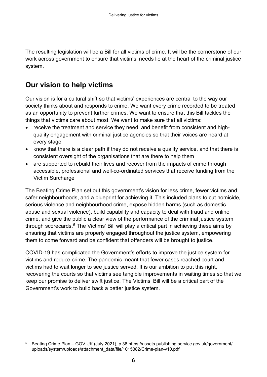The resulting legislation will be a Bill for all victims of crime. It will be the cornerstone of our work across government to ensure that victims' needs lie at the heart of the criminal justice system.

## **Our vision to help victims**

Our vision is for a cultural shift so that victims' experiences are central to the way our society thinks about and responds to crime. We want every crime recorded to be treated as an opportunity to prevent further crimes. We want to ensure that this Bill tackles the things that victims care about most. We want to make sure that all victims:

- receive the treatment and service they need, and benefit from consistent and highquality engagement with criminal justice agencies so that their voices are heard at every stage
- know that there is a clear path if they do not receive a quality service, and that there is consistent oversight of the organisations that are there to help them
- are supported to rebuild their lives and recover from the impacts of crime through accessible, professional and well-co-ordinated services that receive funding from the Victim Surcharge

The Beating Crime Plan set out this government's vision for less crime, fewer victims and safer neighbourhoods, and a blueprint for achieving it. This included plans to cut homicide, serious violence and neighbourhood crime, expose hidden harms (such as domestic abuse and sexual violence), build capability and capacity to deal with fraud and online crime, and give the public a clear view of the performance of the criminal justice system through scorecards.[5](#page-9-0) The Victims' Bill will play a critical part in achieving these aims by ensuring that victims are properly engaged throughout the justice system, empowering them to come forward and be confident that offenders will be brought to justice.

COVID-19 has complicated the Government's efforts to improve the justice system for victims and reduce crime. The pandemic meant that fewer cases reached court and victims had to wait longer to see justice served. It is our ambition to put this right, recovering the courts so that victims see tangible improvements in waiting times so that we keep our promise to deliver swift justice. The Victims' Bill will be a critical part of the Government's work to build back a better justice system.

<span id="page-9-0"></span><sup>5</sup> Beating Crime Plan – GOV.UK (July 2021), p.38 [https://assets.publishing.service.gov.uk/government/](https://assets.publishing.service.gov.uk/government/uploads/system/uploads/attachment_data/file/1015382/Crime-plan-v10.pdf) [uploads/system/uploads/attachment\\_data/file/1015382/Crime-plan-v10.pdf](https://assets.publishing.service.gov.uk/government/uploads/system/uploads/attachment_data/file/1015382/Crime-plan-v10.pdf)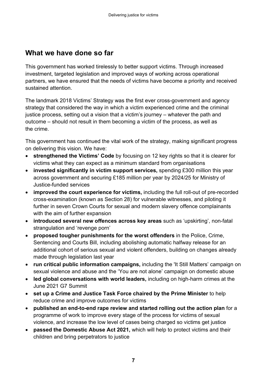### **What we have done so far**

This government has worked tirelessly to better support victims. Through increased investment, targeted legislation and improved ways of working across operational partners, we have ensured that the needs of victims have become a priority and received sustained attention.

The landmark 2018 Victims' Strategy was the first ever cross-government and agency strategy that considered the way in which a victim experienced crime and the criminal justice process, setting out a vision that a victim's journey – whatever the path and outcome – should not result in them becoming a victim of the process, as well as the crime.

This government has continued the vital work of the strategy, making significant progress on delivering this vision. We have:

- **strengthened the Victims' Code** by focusing on 12 key rights so that it is clearer for victims what they can expect as a minimum standard from organisations
- **invested significantly in victim support services,** spending £300 million this year across government and securing £185 million per year by 2024/25 for Ministry of Justice-funded services
- **improved the court experience for victims,** including the full roll-out of pre-recorded cross-examination (known as Section 28) for vulnerable witnesses, and piloting it further in seven Crown Courts for sexual and modern slavery offence complainants with the aim of further expansion
- **introduced several new offences across key areas** such as 'upskirting', non-fatal strangulation and 'revenge porn'
- **proposed tougher punishments for the worst offenders** in the Police, Crime, Sentencing and Courts Bill, including abolishing automatic halfway release for an additional cohort of serious sexual and violent offenders, building on changes already made through legislation last year
- **run critical public information campaigns,** including the 'It Still Matters' campaign on sexual violence and abuse and the 'You are not alone' campaign on domestic abuse
- **led global conversations with world leaders,** including on high-harm crimes at the June 2021 G7 Summit
- **set up a Crime and Justice Task Force chaired by the Prime Minister** to help reduce crime and improve outcomes for victims
- **published an end-to-end rape review and started rolling out the action plan** for a programme of work to improve every stage of the process for victims of sexual violence, and increase the low level of cases being charged so victims get justice
- **passed the Domestic Abuse Act 2021,** which will help to protect victims and their children and bring perpetrators to justice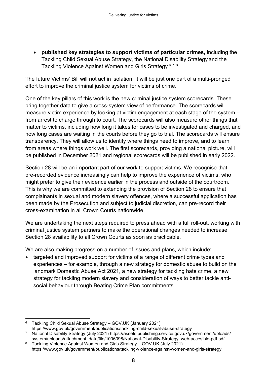• **published key strategies to support victims of particular crimes,** including the Tackling Child Sexual Abuse Strategy, the National Disability Strategy and the Tackling Violence Against Women and Girls Strategy [6](#page-11-0) [7](#page-11-1) [8](#page-11-2) 

The future Victims' Bill will not act in isolation. It will be just one part of a multi-pronged effort to improve the criminal justice system for victims of crime.

One of the key pillars of this work is the new criminal justice system scorecards. These bring together data to give a cross-system view of performance. The scorecards will measure victim experience by looking at victim engagement at each stage of the system – from arrest to charge through to court. The scorecards will also measure other things that matter to victims, including how long it takes for cases to be investigated and charged, and how long cases are waiting in the courts before they go to trial. The scorecards will ensure transparency. They will allow us to identify where things need to improve, and to learn from areas where things work well. The first scorecards, providing a national picture, will be published in December 2021 and regional scorecards will be published in early 2022.

Section 28 will be an important part of our work to support victims. We recognise that pre-recorded evidence increasingly can help to improve the experience of victims, who might prefer to give their evidence earlier in the process and outside of the courtroom. This is why we are committed to extending the provision of Section 28 to ensure that complainants in sexual and modern slavery offences, where a successful application has been made by the Prosecution and subject to judicial discretion, can pre-record their cross-examination in all Crown Courts nationwide.

We are undertaking the next steps required to press ahead with a full roll-out, working with criminal justice system partners to make the operational changes needed to increase Section 28 availability to all Crown Courts as soon as practicable.

We are also making progress on a number of issues and plans, which include:

• targeted and improved support for victims of a range of different crime types and experiences – for example, through a new strategy for domestic abuse to build on the landmark Domestic Abuse Act 2021, a new strategy for tackling hate crime, a new strategy for tackling modern slavery and consideration of ways to better tackle antisocial behaviour through Beating Crime Plan commitments

<span id="page-11-0"></span><sup>6</sup> Tackling Child Sexual Abuse Strategy – GOV.UK (January 2021) <https://www.gov.uk/government/publications/tackling-child-sexual-abuse-strategy>

<span id="page-11-1"></span><sup>7</sup> National Disability Strategy (July 2021) [https://assets.publishing.service.gov.uk/government/uploads/](https://assets.publishing.service.gov.uk/government/uploads/system/uploads/attachment_data/file/1006098/National-Disability-Strategy_web-accesible-pdf.pdf) [system/uploads/attachment\\_data/file/1006098/National-Disability-Strategy\\_web-accesible-pdf.pdf](https://assets.publishing.service.gov.uk/government/uploads/system/uploads/attachment_data/file/1006098/National-Disability-Strategy_web-accesible-pdf.pdf)

<span id="page-11-2"></span><sup>&</sup>lt;sup>8</sup> Tackling Violence Against Women and Girls Strategy – GOV.UK (July 2021) <https://www.gov.uk/government/publications/tackling-violence-against-women-and-girls-strategy>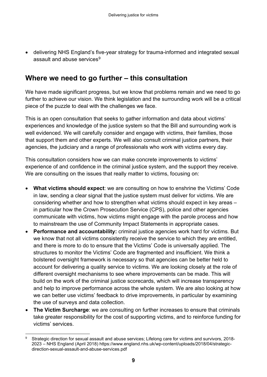• delivering NHS England's five-year strategy for trauma-informed and integrated sexual assault and abuse services<sup>[9](#page-12-0)</sup>

## **Where we need to go further – this consultation**

We have made significant progress, but we know that problems remain and we need to go further to achieve our vision. We think legislation and the surrounding work will be a critical piece of the puzzle to deal with the challenges we face.

This is an open consultation that seeks to gather information and data about victims' experiences and knowledge of the justice system so that the Bill and surrounding work is well evidenced. We will carefully consider and engage with victims, their families, those that support them and other experts. We will also consult criminal justice partners, their agencies, the judiciary and a range of professionals who work with victims every day.

This consultation considers how we can make concrete improvements to victims' experience of and confidence in the criminal justice system, and the support they receive. We are consulting on the issues that really matter to victims, focusing on:

- **What victims should expect**: we are consulting on how to enshrine the Victims' Code in law, sending a clear signal that the justice system must deliver for victims. We are considering whether and how to strengthen what victims should expect in key areas – in particular how the Crown Prosecution Service (CPS), police and other agencies communicate with victims, how victims might engage with the parole process and how to mainstream the use of Community Impact Statements in appropriate cases.
- **Performance and accountability:** criminal justice agencies work hard for victims. But we know that not all victims consistently receive the service to which they are entitled, and there is more to do to ensure that the Victims' Code is universally applied. The structures to monitor the Victims' Code are fragmented and insufficient. We think a bolstered oversight framework is necessary so that agencies can be better held to account for delivering a quality service to victims. We are looking closely at the role of different oversight mechanisms to see where improvements can be made. This will build on the work of the criminal justice scorecards, which will increase transparency and help to improve performance across the whole system. We are also looking at how we can better use victims' feedback to drive improvements, in particular by examining the use of surveys and data collection.
- **The Victim Surcharge**: we are consulting on further increases to ensure that criminals take greater responsibility for the cost of supporting victims, and to reinforce funding for victims' services.

<span id="page-12-0"></span>Strategic direction for sexual assault and abuse services; Lifelong care for victims and survivors, 2018-2023 – NHS England (April 2018) [https://www.england.nhs.uk/wp-content/uploads/2018/04/strategic](https://www.england.nhs.uk/wp-content/uploads/2018/04/strategic-direction-sexual-assault-and-abuse-services.pdf)[direction-sexual-assault-and-abuse-services.pdf](https://www.england.nhs.uk/wp-content/uploads/2018/04/strategic-direction-sexual-assault-and-abuse-services.pdf)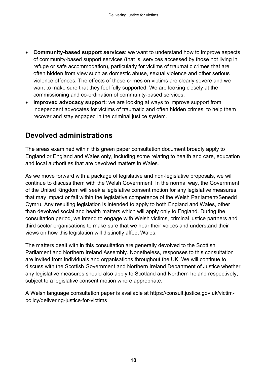- **Community-based support services**: we want to understand how to improve aspects of community-based support services (that is, services accessed by those not living in refuge or safe accommodation), particularly for victims of traumatic crimes that are often hidden from view such as domestic abuse, sexual violence and other serious violence offences. The effects of these crimes on victims are clearly severe and we want to make sure that they feel fully supported. We are looking closely at the commissioning and co-ordination of community-based services.
- **Improved advocacy support:** we are looking at ways to improve support from independent advocates for victims of traumatic and often hidden crimes, to help them recover and stay engaged in the criminal justice system.

### **Devolved administrations**

The areas examined within this green paper consultation document broadly apply to England or England and Wales only, including some relating to health and care, education and local authorities that are devolved matters in Wales.

As we move forward with a package of legislative and non-legislative proposals, we will continue to discuss them with the Welsh Government. In the normal way, the Government of the United Kingdom will seek a legislative consent motion for any legislative measures that may impact or fall within the legislative competence of the Welsh Parliament/Senedd Cymru. Any resulting legislation is intended to apply to both England and Wales, other than devolved social and health matters which will apply only to England. During the consultation period, we intend to engage with Welsh victims, criminal justice partners and third sector organisations to make sure that we hear their voices and understand their views on how this legislation will distinctly affect Wales.

The matters dealt with in this consultation are generally devolved to the Scottish Parliament and Northern Ireland Assembly. Nonetheless, responses to this consultation are invited from individuals and organisations throughout the UK. We will continue to discuss with the Scottish Government and Northern Ireland Department of Justice whether any legislative measures should also apply to Scotland and Northern Ireland respectively, subject to a legislative consent motion where appropriate.

A Welsh language consultation paper is available at [https://consult.justice.gov.uk/victim](https://consult.justice.gov.uk/victim-policy/delivering-justice-for-victims)[policy/delivering-justice-for-victims](https://consult.justice.gov.uk/victim-policy/delivering-justice-for-victims)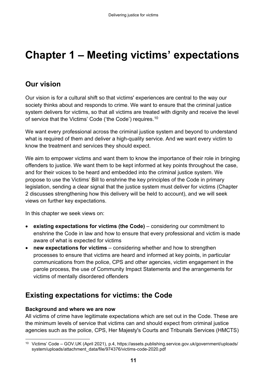## <span id="page-14-0"></span>**Chapter 1 – Meeting victims' expectations**

## **Our vision**

Our vision is for a cultural shift so that victims' experiences are central to the way our society thinks about and responds to crime. We want to ensure that the criminal justice system delivers for victims, so that all victims are treated with dignity and receive the level of service that the Victims' Code ('the Code') requires.<sup>10</sup>

We want every professional across the criminal justice system and beyond to understand what is required of them and deliver a high-quality service. And we want every victim to know the treatment and services they should expect.

We aim to empower victims and want them to know the importance of their role in bringing offenders to justice. We want them to be kept informed at key points throughout the case, and for their voices to be heard and embedded into the criminal justice system. We propose to use the Victims' Bill to enshrine the key principles of the Code in primary legislation, sending a clear signal that the justice system must deliver for victims (Chapter 2 discusses strengthening how this delivery will be held to account), and we will seek views on further key expectations.

In this chapter we seek views on:

- **existing expectations for victims (the Code)** considering our commitment to enshrine the Code in law and how to ensure that every professional and victim is made aware of what is expected for victims
- **new expectations for victims** considering whether and how to strengthen processes to ensure that victims are heard and informed at key points, in particular communications from the police, CPS and other agencies, victim engagement in the parole process, the use of Community Impact Statements and the arrangements for victims of mentally disordered offenders

## **Existing expectations for victims: the Code**

#### **Background and where we are now**

All victims of crime have legitimate expectations which are set out in the Code. These are the minimum levels of service that victims can and should expect from criminal justice agencies such as the police, CPS, Her Majesty's Courts and Tribunals Services (HMCTS)

<span id="page-14-1"></span><sup>10</sup> Victims' Code – GOV.UK (April 2021), p.4, [https://assets.publishing.service.gov.uk/government/uploads/](https://assets.publishing.service.gov.uk/government/uploads/system/uploads/attachment_data/file/974376/victims-code-2020.pdf) [system/uploads/attachment\\_data/file/974376/victims-code-2020.pdf](https://assets.publishing.service.gov.uk/government/uploads/system/uploads/attachment_data/file/974376/victims-code-2020.pdf)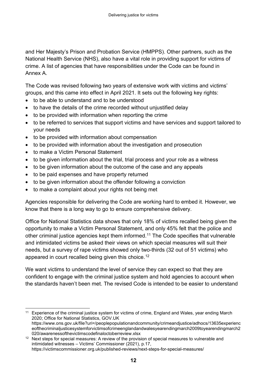and Her Majesty's Prison and Probation Service (HMPPS). Other partners, such as the National Health Service (NHS), also have a vital role in providing support for victims of crime. A list of agencies that have responsibilities under the Code can be found in Annex A.

The Code was revised following two years of extensive work with victims and victims' groups, and this came into effect in April 2021. It sets out the following key rights:

- to be able to understand and to be understood
- to have the details of the crime recorded without unjustified delay
- to be provided with information when reporting the crime
- to be referred to services that support victims and have services and support tailored to your needs
- to be provided with information about compensation
- to be provided with information about the investigation and prosecution
- to make a Victim Personal Statement
- to be given information about the trial, trial process and your role as a witness
- to be given information about the outcome of the case and any appeals
- to be paid expenses and have property returned
- to be given information about the offender following a conviction
- to make a complaint about your rights not being met

Agencies responsible for delivering the Code are working hard to embed it. However, we know that there is a long way to go to ensure comprehensive delivery.

Office for National Statistics data shows that only 18% of victims recalled being given the opportunity to make a Victim Personal Statement, and only 45% felt that the police and other criminal justice agencies kept them informed.<sup>[11](#page-15-0)</sup> The Code specifies that vulnerable and intimidated victims be asked their views on which special measures will suit their needs, but a survey of rape victims showed only two-thirds (32 out of 51 victims) who appeared in court recalled being given this choice.<sup>[12](#page-15-1)</sup>

We want victims to understand the level of service they can expect so that they are confident to engage with the criminal justice system and hold agencies to account when the standards haven't been met. The revised Code is intended to be easier to understand

<span id="page-15-0"></span><sup>&</sup>lt;sup>11</sup> Experience of the criminal justice system for victims of crime, England and Wales, year ending March 2020; Office for National Statistics, GOV.UK [https://www.ons.gov.uk/file?uri=/peoplepopulationandcommunity/crimeandjustice/adhocs/13635experienc](https://www.ons.gov.uk/file?uri=/peoplepopulationandcommunity/crimeandjustice/adhocs/13635experienceofthecriminaljusticesystemforvictimsofcrimeenglandandwalesyearendingmarch2009toyearendingmarch2020/awarenessofthevictimscodefinaloctoberreview.xlsx) [eofthecriminaljusticesystemforvictimsofcrimeenglandandwalesyearendingmarch2009toyearendingmarch2](https://www.ons.gov.uk/file?uri=/peoplepopulationandcommunity/crimeandjustice/adhocs/13635experienceofthecriminaljusticesystemforvictimsofcrimeenglandandwalesyearendingmarch2009toyearendingmarch2020/awarenessofthevictimscodefinaloctoberreview.xlsx) [020/awarenessofthevictimscodefinaloctoberreview.xlsx](https://www.ons.gov.uk/file?uri=/peoplepopulationandcommunity/crimeandjustice/adhocs/13635experienceofthecriminaljusticesystemforvictimsofcrimeenglandandwalesyearendingmarch2009toyearendingmarch2020/awarenessofthevictimscodefinaloctoberreview.xlsx)

<span id="page-15-1"></span><sup>&</sup>lt;sup>12</sup> Next steps for special measures: A review of the provision of special measures to vulnerable and intimidated witnesses – Victims' Commissioner (2021), p.17,

<https://victimscommissioner.org.uk/published-reviews/next-steps-for-special-measures/>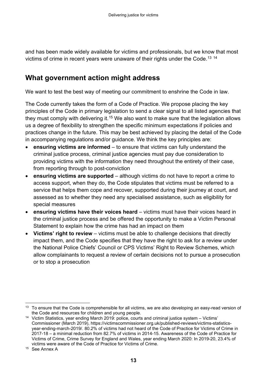and has been made widely available for victims and professionals, but we know that most victims of crime in recent years were unaware of their rights under the Code.<sup>[13](#page-16-0) [14](#page-16-1)</sup>

## **What government action might address**

We want to test the best way of meeting our commitment to enshrine the Code in law.

The Code currently takes the form of a Code of Practice. We propose placing the key principles of the Code in primary legislation to send a clear signal to all listed agencies that they must comply with delivering it.<sup>[15](#page-16-2)</sup> We also want to make sure that the legislation allows us a degree of flexibility to strengthen the specific minimum expectations if policies and practices change in the future. This may be best achieved by placing the detail of the Code in accompanying regulations and/or guidance. We think the key principles are:

- **ensuring victims are informed** to ensure that victims can fully understand the criminal justice process, criminal justice agencies must pay due consideration to providing victims with the information they need throughout the entirety of their case, from reporting through to post-conviction
- **ensuring victims are supported** although victims do not have to report a crime to access support, when they do, the Code stipulates that victims must be referred to a service that helps them cope and recover, supported during their journey at court, and assessed as to whether they need any specialised assistance, such as eligibility for special measures
- **ensuring victims have their voices heard** victims must have their voices heard in the criminal justice process and be offered the opportunity to make a Victim Personal Statement to explain how the crime has had an impact on them
- **Victims' right to review** victims must be able to challenge decisions that directly impact them, and the Code specifies that they have the right to ask for a review under the National Police Chiefs' Council or CPS Victims' Right to Review Schemes, which allow complainants to request a review of certain decisions not to pursue a prosecution or to stop a prosecution

<span id="page-16-0"></span><sup>&</sup>lt;sup>13</sup> To ensure that the Code is comprehensible for all victims, we are also developing an easy-read version of the Code and resources for children and young people.

<span id="page-16-1"></span><sup>14</sup> Victim Statistics, year ending March 2019: police, courts and criminal justice system – Victims' Commissioner (March 2019), [https://victimscommissioner.org.uk/published-reviews/victims-statistics](https://victimscommissioner.org.uk/published-reviews/victims-statistics-year-ending-march-2019/)[year-ending-march-2019/.](https://victimscommissioner.org.uk/published-reviews/victims-statistics-year-ending-march-2019/) 80.2% of victims had not heard of the Code of Practice for Victims of Crime in 2017-18 – a minimal reduction from 82.7% of victims in 2014-15. Awareness of the Code of Practice for Victims of Crime, Crime Survey for England and Wales, year ending March 2020: In 2019-20, 23.4% of victims were aware of the Code of Practice for Victims of Crime.

<span id="page-16-2"></span><sup>15</sup> See Annex A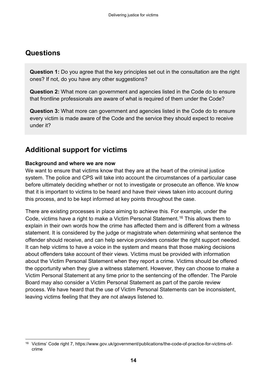### **Questions**

**Question 1:** Do you agree that the key principles set out in the consultation are the right ones? If not, do you have any other suggestions?

**Question 2:** What more can government and agencies listed in the Code do to ensure that frontline professionals are aware of what is required of them under the Code?

**Question 3:** What more can government and agencies listed in the Code do to ensure every victim is made aware of the Code and the service they should expect to receive under it?

## **Additional support for victims**

#### **Background and where we are now**

We want to ensure that victims know that they are at the heart of the criminal justice system. The police and CPS will take into account the circumstances of a particular case before ultimately deciding whether or not to investigate or prosecute an offence. We know that it is important to victims to be heard and have their views taken into account during this process, and to be kept informed at key points throughout the case.

There are existing processes in place aiming to achieve this. For example, under the Code, victims have a right to make a Victim Personal Statement. [16](#page-17-0) This allows them to explain in their own words how the crime has affected them and is different from a witness statement. It is considered by the judge or magistrate when determining what sentence the offender should receive, and can help service providers consider the right support needed. It can help victims to have a voice in the system and means that those making decisions about offenders take account of their views. Victims must be provided with information about the Victim Personal Statement when they report a crime. Victims should be offered the opportunity when they give a witness statement. However, they can choose to make a Victim Personal Statement at any time prior to the sentencing of the offender. The Parole Board may also consider a Victim Personal Statement as part of the parole review process. We have heard that the use of Victim Personal Statements can be inconsistent, leaving victims feeling that they are not always listened to.

<span id="page-17-0"></span><sup>16</sup> Victims' Code right 7, [https://www.gov.uk/government/publications/the-code-of-practice-for-victims-of](https://www.gov.uk/government/publications/the-code-of-practice-for-victims-of-crime)[crime](https://www.gov.uk/government/publications/the-code-of-practice-for-victims-of-crime)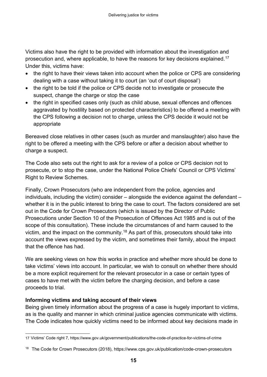Victims also have the right to be provided with information about the investigation and prosecution and, where applicable, to have the reasons for key decisions explained.[17](#page-18-0) Under this, victims have:

- the right to have their views taken into account when the police or CPS are considering dealing with a case without taking it to court (an 'out of court disposal')
- the right to be told if the police or CPS decide not to investigate or prosecute the suspect, change the charge or stop the case
- the right in specified cases only (such as child abuse, sexual offences and offences aggravated by hostility based on protected characteristics) to be offered a meeting with the CPS following a decision not to charge, unless the CPS decide it would not be appropriate

Bereaved close relatives in other cases (such as murder and manslaughter) also have the right to be offered a meeting with the CPS before or after a decision about whether to charge a suspect.

The Code also sets out the right to ask for a review of a police or CPS decision not to prosecute, or to stop the case, under the National Police Chiefs' Council or CPS Victims' Right to Review Schemes.

Finally, Crown Prosecutors (who are independent from the police, agencies and individuals, including the victim) consider – alongside the evidence against the defendant – whether it is in the public interest to bring the case to court. The factors considered are set out in the Code for Crown Prosecutors (which is issued by the Director of Public Prosecutions under Section 10 of the Prosecution of Offences Act 1985 and is out of the scope of this consultation). These include the circumstances of and harm caused to the victim, and the impact on the community.[18](#page-18-1) As part of this, prosecutors should take into account the views expressed by the victim, and sometimes their family, about the impact that the offence has had.

We are seeking views on how this works in practice and whether more should be done to take victims' views into account. In particular, we wish to consult on whether there should be a more explicit requirement for the relevant prosecutor in a case or certain types of cases to have met with the victim before the charging decision, and before a case proceeds to trial.

#### **Informing victims and taking account of their views**

Being given timely information about the progress of a case is hugely important to victims, as is the quality and manner in which criminal justice agencies communicate with victims. The Code indicates how quickly victims need to be informed about key decisions made in

<span id="page-18-0"></span><sup>17</sup> Victims' Code right 7,<https://www.gov.uk/government/publications/the-code-of-practice-for-victims-of-crime>

<span id="page-18-1"></span><sup>18</sup> The Code for Crown Prosecutors (2018),<https://www.cps.gov.uk/publication/code-crown-prosecutors>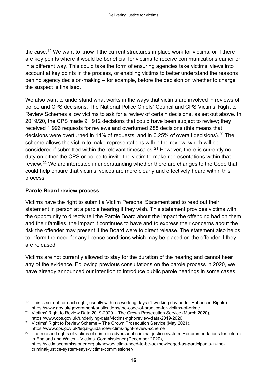the case.<sup>[19](#page-19-0)</sup> We want to know if the current structures in place work for victims, or if there are key points where it would be beneficial for victims to receive communications earlier or in a different way. This could take the form of ensuring agencies take victims' views into account at key points in the process, or enabling victims to better understand the reasons behind agency decision-making – for example, before the decision on whether to charge the suspect is finalised.

We also want to understand what works in the ways that victims are involved in reviews of police and CPS decisions. The National Police Chiefs' Council and CPS Victims' Right to Review Schemes allow victims to ask for a review of certain decisions, as set out above. In 2019/20, the CPS made 91,912 decisions that could have been subject to review; they received 1,996 requests for reviews and overturned 288 decisions (this means that decisions were overturned in 14% of requests, and in 0.25% of overall decisions)[.20](#page-19-1) The scheme allows the victim to make representations within the review, which will be considered if submitted within the relevant timescales.[21](#page-19-2) However, there is currently no duty on either the CPS or police to invite the victim to make representations within that review.<sup>[22](#page-19-3)</sup> We are interested in understanding whether there are changes to the Code that could help ensure that victims' voices are more clearly and effectively heard within this process.

#### **Parole Board review process**

Victims have the right to submit a Victim Personal Statement and to read out their statement in person at a parole hearing if they wish. This statement provides victims with the opportunity to directly tell the Parole Board about the impact the offending had on them and their families, the impact it continues to have and to express their concerns about the risk the offender may present if the Board were to direct release. The statement also helps to inform the need for any licence conditions which may be placed on the offender if they are released.

Victims are not currently allowed to stay for the duration of the hearing and cannot hear any of the evidence. Following previous consultations on the parole process in 2020, we have already announced our intention to introduce public parole hearings in some cases

<span id="page-19-0"></span><sup>&</sup>lt;sup>19</sup> This is set out for each right, usually within 5 working days (1 working day under Enhanced Rights): <https://www.gov.uk/government/publications/the-code-of-practice-for-victims-of-crime>

<span id="page-19-1"></span><sup>&</sup>lt;sup>20</sup> Victims' Right to Review Data 2019-2020 – The Crown Prosecution Service (March 2020), <https://www.cps.gov.uk/underlying-data/victims-right-review-data-2019-2020>

<span id="page-19-2"></span><sup>&</sup>lt;sup>21</sup> Victims' Right to Review Scheme – The Crown Prosecution Service (May 2021), <https://www.cps.gov.uk/legal-guidance/victims-right-review-scheme>

<span id="page-19-3"></span><sup>&</sup>lt;sup>22</sup> The role and rights of victims of crime in adversarial criminal justice system: Recommendations for reform in England and Wales – Victims' Commissioner (December 2020), [https://victimscommissioner.org.uk/news/victims-need-to-be-acknowledged-as-participants-in-the](https://victimscommissioner.org.uk/news/victims-need-to-be-acknowledged-as-participants-in-the-criminal-justice-system-says-victims-commissioner/)[criminal-justice-system-says-victims-commissioner/](https://victimscommissioner.org.uk/news/victims-need-to-be-acknowledged-as-participants-in-the-criminal-justice-system-says-victims-commissioner/)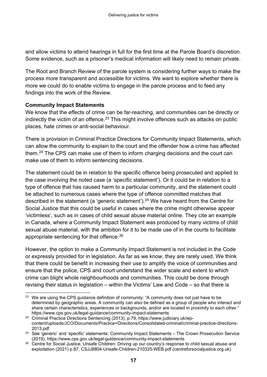and allow victims to attend hearings in full for the first time at the Parole Board's discretion. Some evidence, such as a prisoner's medical information will likely need to remain private.

The Root and Branch Review of the parole system is considering further ways to make the process more transparent and accessible for victims. We want to explore whether there is more we could do to enable victims to engage in the parole process and to feed any findings into the work of the Review.

#### **Community Impact Statements**

We know that the effects of crime can be far-reaching, and communities can be directly or indirectly the victim of an offence.<sup>[23](#page-20-0)</sup> This might involve offences such as attacks on public places, hate crimes or anti-social behaviour.

There is provision in Criminal Practice Directions for Community Impact Statements, which can allow the community to explain to the court and the offender how a crime has affected them.[24](#page-20-1) The CPS can make use of them to inform charging decisions and the court can make use of them to inform sentencing decisions.

The statement could be in relation to the specific offence being prosecuted and applied to the case involving the noted case (a 'specific statement'). Or it could be in relation to a type of offence that has caused harm to a particular community, and the statement could be attached to numerous cases where the type of offence committed matches that described in the statement (a 'generic statement').<sup>[25](#page-20-2)</sup> We have heard from the Centre for Social Justice that this could be useful in cases where the crime might otherwise appear 'victimless', such as in cases of child sexual abuse material online. They cite an example in Canada, where a Community Impact Statement was produced by many victims of child sexual abuse material, with the ambition for it to be made use of in the courts to facilitate appropriate sentencing for that offence.<sup>[26](#page-20-3)</sup>

However, the option to make a Community Impact Statement is not included in the Code or expressly provided for in legislation. As far as we know, they are rarely used. We think that there could be benefit in increasing their use to amplify the voice of communities and ensure that the police, CPS and court understand the wider scale and extent to which crime can blight whole neighbourhoods and communities. This could be done through revising their status in legislation – within the Victims' Law and Code – so that there is

<span id="page-20-0"></span><sup>&</sup>lt;sup>23</sup> We are using the CPS guidance definition of community: "A community does not just have to be determined by geographic areas. A community can also be defined as a group of people who interact and share certain characteristics, experiences or backgrounds, and/or are located in proximity to each other." <https://www.cps.gov.uk/legal-guidance/community-impact-statements>

<span id="page-20-1"></span><sup>24</sup> Criminal Practice Directions Sentencing (2013), p.79, [https://www.judiciary.uk/wp](https://www.judiciary.uk/wp-content/uploads/JCO/Documents/Practice+Directions/Consolidated-criminal/criminal-practice-directions-2013.pdf)[content/uploads/JCO/Documents/Practice+Directions/Consolidated-criminal/criminal-practice-directions-](https://www.judiciary.uk/wp-content/uploads/JCO/Documents/Practice+Directions/Consolidated-criminal/criminal-practice-directions-2013.pdf)[2013.pdf](https://www.judiciary.uk/wp-content/uploads/JCO/Documents/Practice+Directions/Consolidated-criminal/criminal-practice-directions-2013.pdf)

<span id="page-20-2"></span><sup>&</sup>lt;sup>25</sup> See 'generic' and 'specific' statements: Community Impact Statements – The Crown Prosecution Service (2019), <https://www.cps.gov.uk/legal-guidance/community-impact-statements>

<span id="page-20-3"></span><sup>&</sup>lt;sup>26</sup> Centre for Social Justice, Unsafe Children: Driving up our country's response to child sexual abuse and exploitation (2021) p.87, [CSJJ8804-Unsafe-Children-210325-WEB.pdf \(centreforsocialjustice.org.uk\)](https://www.centreforsocialjustice.org.uk/wp-content/uploads/2021/03/CSJJ8804-Unsafe-Children-210325-WEB.pdf)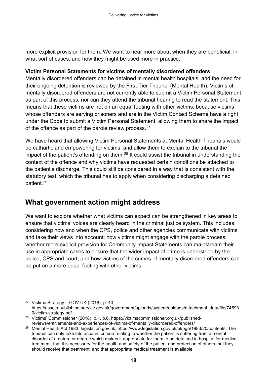more explicit provision for them. We want to hear more about when they are beneficial, in what sort of cases, and how they might be used more in practice.

#### **Victim Personal Statements for victims of mentally disordered offenders**

Mentally disordered offenders can be detained in mental health hospitals, and the need for their ongoing detention is reviewed by the First-Tier Tribunal (Mental Health). Victims of mentally disordered offenders are not currently able to submit a Victim Personal Statement as part of this process, nor can they attend the tribunal hearing to read the statement. This means that these victims are not on an equal footing with other victims, because victims whose offenders are serving prisoners and are in the Victim Contact Scheme have a right under the Code to submit a Victim Personal Statement, allowing them to share the impact of the offence as part of the parole review process.<sup>27</sup>

We have heard that allowing Victim Personal Statements at Mental Health Tribunals would be cathartic and empowering for victims, and allow them to explain to the tribunal the impact of the patient's offending on them.<sup>[28](#page-21-1)</sup> It could assist the tribunal in understanding the context of the offence and why victims have requested certain conditions be attached to the patient's discharge. This could still be considered in a way that is consistent with the statutory test, which the tribunal has to apply when considering discharging a detained patient[.29](#page-21-2)

## **What government action might address**

We want to explore whether what victims can expect can be strengthened in key areas to ensure that victims' voices are clearly heard in the criminal justice system. This includes: considering how and when the CPS, police and other agencies communicate with victims and take their views into account; how victims might engage with the parole process; whether more explicit provision for Community Impact Statements can mainstream their use in appropriate cases to ensure that the wider impact of crime is understood by the police, CPS and court; and how victims of the crimes of mentally disordered offenders can be put on a more equal footing with other victims.

<span id="page-21-0"></span><sup>&</sup>lt;sup>27</sup> [Victims Strategy](https://assets.publishing.service.gov.uk/government/uploads/system/uploads/attachment_data/file/746930/victim-strategy.pdf) – GOV.UK (2018), p. 40, [https://assets.publishing.service.gov.uk/government/uploads/system/uploads/attachment\\_data/file/74693](https://assets.publishing.service.gov.uk/government/uploads/system/uploads/attachment_data/file/746930/victim-strategy.pdf)

<span id="page-21-1"></span><sup>0/</sup>victim-strategy.pdf<br>
<sup>28</sup> Victims' Commissioner (2018), p.1, p.6, https://victimscommissioner.org.uk/published-<br>
28 reviews/entitlements-and-experiences-of-victims-of-mentally-disordered-offenders/

<span id="page-21-2"></span><sup>&</sup>lt;sup>29</sup> Mental Health Act 1983, legislation.gov.uk, [https://www.legislation.gov.uk/ukpga/1983/20/contents:](https://www.legislation.gov.uk/ukpga/1983/20/contents) The tribunal can only take into account criteria relating to whether the patient is suffering from a mental disorder of a nature or degree which makes it appropriate for them to be detained in hospital for medical treatment; that it is necessary for the health and safety of the patient and protection of others that they should receive that treatment; and that appropriate medical treatment is available.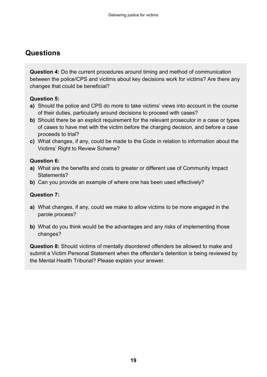## **Questions**

**Question 4:** Do the current procedures around timing and method of communication between the police/CPS and victims about key decisions work for victims? Are there any changes that could be beneficial?

#### **Question 5:**

- **a)** Should the police and CPS do more to take victims' views into account in the course of their duties, particularly around decisions to proceed with cases?
- **b)** Should there be an explicit requirement for the relevant prosecutor in a case or types of cases to have met with the victim before the charging decision, and before a case proceeds to trial?
- **c)** What changes, if any, could be made to the Code in relation to information about the Victims' Right to Review Scheme?

#### **Question 6:**

- **a)** What are the benefits and costs to greater or different use of Community Impact Statements?
- **b)** Can you provide an example of where one has been used effectively?

#### **Question 7:**

- **a)** What changes, if any, could we make to allow victims to be more engaged in the parole process?
- **b)** What do you think would be the advantages and any risks of implementing those changes?

**Question 8:** Should victims of mentally disordered offenders be allowed to make and submit a Victim Personal Statement when the offender's detention is being reviewed by the Mental Health Tribunal? Please explain your answer.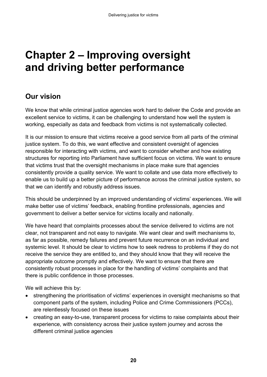## <span id="page-23-0"></span>**Chapter 2 – Improving oversight and driving better performance**

## **Our vision**

We know that while criminal justice agencies work hard to deliver the Code and provide an excellent service to victims, it can be challenging to understand how well the system is working, especially as data and feedback from victims is not systematically collected.

It is our mission to ensure that victims receive a good service from all parts of the criminal justice system. To do this, we want effective and consistent oversight of agencies responsible for interacting with victims, and want to consider whether and how existing structures for reporting into Parliament have sufficient focus on victims. We want to ensure that victims trust that the oversight mechanisms in place make sure that agencies consistently provide a quality service. We want to collate and use data more effectively to enable us to build up a better picture of performance across the criminal justice system, so that we can identify and robustly address issues.

This should be underpinned by an improved understanding of victims' experiences. We will make better use of victims' feedback, enabling frontline professionals, agencies and government to deliver a better service for victims locally and nationally.

We have heard that complaints processes about the service delivered to victims are not clear, not transparent and not easy to navigate. We want clear and swift mechanisms to, as far as possible, remedy failures and prevent future recurrence on an individual and systemic level. It should be clear to victims how to seek redress to problems if they do not receive the service they are entitled to, and they should know that they will receive the appropriate outcome promptly and effectively. We want to ensure that there are consistently robust processes in place for the handling of victims' complaints and that there is public confidence in those processes.

We will achieve this by:

- strengthening the prioritisation of victims' experiences in oversight mechanisms so that component parts of the system, including Police and Crime Commissioners (PCCs), are relentlessly focused on these issues
- creating an easy-to-use, transparent process for victims to raise complaints about their experience, with consistency across their justice system journey and across the different criminal justice agencies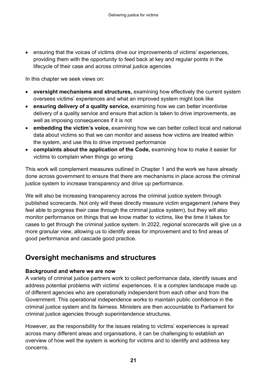• ensuring that the voices of victims drive our improvements of victims' experiences, providing them with the opportunity to feed back at key and regular points in the lifecycle of their case and across criminal justice agencies

In this chapter we seek views on:

- **oversight mechanisms and structures,** examining how effectively the current system oversees victims' experiences and what an improved system might look like
- **ensuring delivery of a quality service,** examining how we can better incentivise delivery of a quality service and ensure that action is taken to drive improvements, as well as imposing consequences if it is not
- **embedding the victim's voice,** examining how we can better collect local and national data about victims so that we can monitor and assess how victims are treated within the system, and use this to drive improved performance
- **complaints about the application of the Code,** examining how to make it easier for victims to complain when things go wrong

This work will complement measures outlined in Chapter 1 and the work we have already done across government to ensure that there are mechanisms in place across the criminal justice system to increase transparency and drive up performance.

We will also be increasing transparency across the criminal justice system through published scorecards. Not only will these directly measure victim engagement (where they feel able to progress their case through the criminal justice system), but they will also monitor performance on things that we know matter to victims, like the time it takes for cases to get through the criminal justice system. In 2022, regional scorecards will give us a more granular view, allowing us to identify areas for improvement and to find areas of good performance and cascade good practice.

## **Oversight mechanisms and structures**

#### **Background and where we are now**

A variety of criminal justice partners work to collect performance data, identify issues and address potential problems with victims' experiences. It is a complex landscape made up of different agencies who are operationally independent from each other and from the Government. This operational independence works to maintain public confidence in the criminal justice system and its fairness. Ministers are then accountable to Parliament for criminal justice agencies through superintendence structures.

However, as the responsibility for the issues relating to victims' experiences is spread across many different areas and organisations, it can be challenging to establish an overview of how well the system is working for victims and to identify and address key concerns.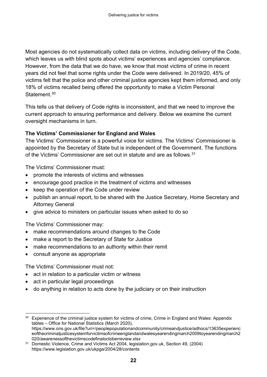Most agencies do not systematically collect data on victims, including delivery of the Code, which leaves us with blind spots about victims' experiences and agencies' compliance. However, from the data that we do have, we know that most victims of crime in recent years did not feel that some rights under the Code were delivered. In 2019/20, 45% of victims felt that the police and other criminal justice agencies kept them informed, and only 18% of victims recalled being offered the opportunity to make a Victim Personal Statement.<sup>[30](#page-25-0)</sup>

This tells us that delivery of Code rights is inconsistent, and that we need to improve the current approach to ensuring performance and delivery. Below we examine the current oversight mechanisms in turn.

#### **The Victims' Commissioner for England and Wales**

The Victims' Commissioner is a powerful voice for victims. The Victims' Commissioner is appointed by the Secretary of State but is independent of the Government. The functions of the Victims' Commissioner are set out in statute and are as follows.[31](#page-25-1)

The Victims' Commissioner must:

- promote the interests of victims and witnesses
- encourage good practice in the treatment of victims and witnesses
- keep the operation of the Code under review
- publish an annual report, to be shared with the Justice Secretary, Home Secretary and Attorney General
- give advice to ministers on particular issues when asked to do so

The Victims' Commissioner may:

- make recommendations around changes to the Code
- make a report to the Secretary of State for Justice
- make recommendations to an authority within their remit
- consult anyone as appropriate

The Victims' Commissioner must not:

- act in relation to a particular victim or witness
- act in particular legal proceedings
- do anything in relation to acts done by the judiciary or on their instruction

<span id="page-25-0"></span><sup>&</sup>lt;sup>30</sup> Experience of the criminal justice system for victims of crime, Crime in England and Wales: Appendix [tables – Office for National Statistics](https://www.ons.gov.uk/peoplepopulationandcommunity/crimeandjustice/datasets/crimeinenglandandwalesappendixtables) (March 2020), [https://www.ons.gov.uk/file?uri=/peoplepopulationandcommunity/crimeandjustice/adhocs/13635experienc](https://www.ons.gov.uk/file?uri=/peoplepopulationandcommunity/crimeandjustice/adhocs/13635experienceofthecriminaljusticesystemforvictimsofcrimeenglandandwalesyearendingmarch2009toyearendingmarch2020/awarenessofthevictimscodefinaloctoberreview.xlsx) [eofthecriminaljusticesystemforvictimsofcrimeenglandandwalesyearendingmarch2009toyearendingmarch2](https://www.ons.gov.uk/file?uri=/peoplepopulationandcommunity/crimeandjustice/adhocs/13635experienceofthecriminaljusticesystemforvictimsofcrimeenglandandwalesyearendingmarch2009toyearendingmarch2020/awarenessofthevictimscodefinaloctoberreview.xlsx) [020/awarenessofthevictimscodefinaloctoberreview.xlsx](https://www.ons.gov.uk/file?uri=/peoplepopulationandcommunity/crimeandjustice/adhocs/13635experienceofthecriminaljusticesystemforvictimsofcrimeenglandandwalesyearendingmarch2009toyearendingmarch2020/awarenessofthevictimscodefinaloctoberreview.xlsx)

<span id="page-25-1"></span><sup>31</sup> [Domestic Violence, Crime and Victims Act 2004, legislation.gov.uk,](https://www.legislation.gov.uk/ukpga/2004/28/contents) Section 49, (2004) <https://www.legislation.gov.uk/ukpga/2004/28/contents>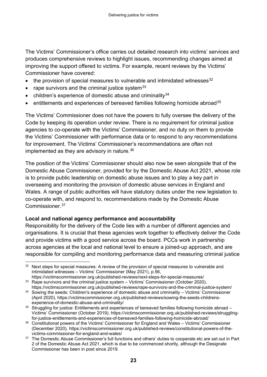The Victims' Commissioner's office carries out detailed research into victims' services and produces comprehensive reviews to highlight issues, recommending changes aimed at improving the support offered to victims. For example, recent reviews by the Victims' Commissioner have covered:

- the provision of special measures to vulnerable and intimidated witnesses $32$
- rape survivors and the criminal justice system  $33$
- $\bullet$  children's experience of domestic abuse and criminality<sup>[34](#page-26-2)</sup>
- $\bullet$  entitlements and experiences of bereaved families following homicide abroad<sup>[35](#page-26-3)</sup>

The Victims' Commissioner does not have the powers to fully oversee the delivery of the Code by keeping its operation under review. There is no requirement for criminal justice agencies to co-operate with the Victims' Commissioner, and no duty on them to provide the Victims' Commissioner with performance data or to respond to any recommendations for improvement. The Victims' Commissioner's recommendations are often not implemented as they are advisory in nature.<sup>36</sup>

The position of the Victims' Commissioner should also now be seen alongside that of the Domestic Abuse Commissioner, provided for by the Domestic Abuse Act 2021, whose role is to provide public leadership on domestic abuse issues and to play a key part in overseeing and monitoring the provision of domestic abuse services in England and Wales. A range of public authorities will have statutory duties under the new legislation to co-operate with, and respond to, recommendations made by the Domestic Abuse Commissioner.[37](#page-26-5)

#### **Local and national agency performance and accountability**

Responsibility for the delivery of the Code lies with a number of different agencies and organisations. It is crucial that these agencies work together to effectively deliver the Code and provide victims with a good service across the board. PCCs work in partnership across agencies at the local and national level to ensure a joined-up approach, and are responsible for compiling and monitoring performance data and measuring criminal justice

<span id="page-26-0"></span><sup>&</sup>lt;sup>32</sup> Next steps for special measures: A review of the provision of special measures to vulnerable and intimidated witnesses – Victims' Commissioner (May 2021), p.56,<br>https://victimscommissioner.org.uk/published-reviews/next-steps-for-special-measures/

<span id="page-26-1"></span> $33$  [Rape survivors and the criminal justice system – Victims' Commissioner](https://victimscommissioner.org.uk/published-reviews/rape-survivors-and-the-criminal-justice-system/) (October 2020), https://victimscommissioner.org.uk/published-reviews/rape-survivors-and-the-criminal-justice-system/

<span id="page-26-2"></span><sup>&</sup>lt;sup>34</sup> [Sowing the seeds: Children's experience of domestic abuse and criminality – Victims' Commissioner](https://victimscommissioner.org.uk/published-reviews/sowing-the-seeds-childrens-experience-of-domestic-abuse-and-criminality/) (April 2020), [https://victimscommissioner.org.uk/published-reviews/sowing-the-seeds-childrens](https://victimscommissioner.org.uk/published-reviews/sowing-the-seeds-childrens-experience-of-domestic-abuse-and-criminality/)[experience-of-domestic-abuse-and-criminality/](https://victimscommissioner.org.uk/published-reviews/sowing-the-seeds-childrens-experience-of-domestic-abuse-and-criminality/)

<span id="page-26-3"></span><sup>&</sup>lt;sup>35</sup> Struggling for justice: Entitlements and experiences of bereaved families following homicide abroad – Victims' Commissioner (October 2019), [https://victimscommissioner.org.uk/published-reviews/struggling-](https://victimscommissioner.org.uk/published-reviews/struggling-for-justice-entitlements-and-experiences-of-bereaved-families-following-homicide-abroad/)

<span id="page-26-4"></span> $36$  [Constitutional powers of the Victims' Commissioner for England and Wales – Victims' Commissioner](https://victimscommissioner.org.uk/published-reviews/constitutional-powers-of-the-victims-commissioner-for-england-and-wales/) (December 2020), [https://victimscommissioner.org.uk/published-reviews/constitutional-powers-of-the](https://victimscommissioner.org.uk/published-reviews/constitutional-powers-of-the-victims-commissioner-for-england-and-wales/)[victims-commissioner-for-england-and-wales/](https://victimscommissioner.org.uk/published-reviews/constitutional-powers-of-the-victims-commissioner-for-england-and-wales/)

<span id="page-26-5"></span><sup>&</sup>lt;sup>37</sup> The Domestic Abuse Commissioner's full functions and others' duties to cooperate etc are set out in Part 2 of the Domestic Abuse Act 2021, which is due to be commenced shortly, although the Designate Commissioner has been in post since 2019.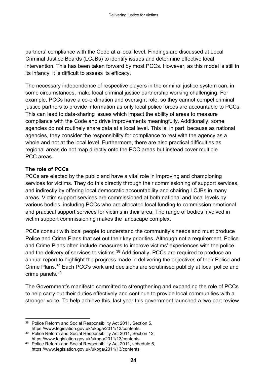partners' compliance with the Code at a local level. Findings are discussed at Local Criminal Justice Boards (LCJBs) to identify issues and determine effective local intervention. This has been taken forward by most PCCs. However, as this model is still in its infancy, it is difficult to assess its efficacy.

The necessary independence of respective players in the criminal justice system can, in some circumstances, make local criminal justice partnership working challenging. For example, PCCs have a co-ordination and oversight role, so they cannot compel criminal justice partners to provide information as only local police forces are accountable to PCCs. This can lead to data-sharing issues which impact the ability of areas to measure compliance with the Code and drive improvements meaningfully. Additionally, some agencies do not routinely share data at a local level. This is, in part, because as national agencies, they consider the responsibility for compliance to rest with the agency as a whole and not at the local level. Furthermore, there are also practical difficulties as regional areas do not map directly onto the PCC areas but instead cover multiple PCC areas.

#### **The role of PCCs**

PCCs are elected by the public and have a vital role in improving and championing services for victims. They do this directly through their commissioning of support services, and indirectly by offering local democratic accountability and chairing LCJBs in many areas. Victim support services are commissioned at both national and local levels by various bodies, including PCCs who are allocated local funding to commission emotional and practical support services for victims in their area. The range of bodies involved in victim support commissioning makes the landscape complex.

PCCs consult with local people to understand the community's needs and must produce Police and Crime Plans that set out their key priorities. Although not a requirement, Police and Crime Plans often include measures to improve victims' experiences with the police and the delivery of services to victims. [38](#page-27-0) Additionally, PCCs are required to produce an annual report to highlight the progress made in delivering the objectives of their Police and Crime Plans.[39](#page-27-1) Each PCC's work and decisions are scrutinised publicly at local police and crime panels.[40](#page-27-2)

The Government's manifesto committed to strengthening and expanding the role of PCCs to help carry out their duties effectively and continue to provide local communities with a stronger voice. To help achieve this, last year this government launched a two-part review

<span id="page-27-0"></span><sup>38</sup> Police Reform and Social Responsibility Act 2011, Section 5, <https://www.legislation.gov.uk/ukpga/2011/13/contents>

<span id="page-27-1"></span><sup>39</sup> Police Reform and Social Responsibility Act 2011, Section 12, <https://www.legislation.gov.uk/ukpga/2011/13/contents>

<span id="page-27-2"></span><sup>40</sup> Police Reform and Social Responsibility Act 2011, schedule 6, <https://www.legislation.gov.uk/ukpga/2011/13/contents>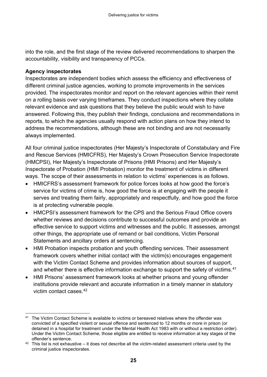into the role, and the first stage of the review delivered recommendations to sharpen the accountability, visibility and transparency of PCCs.

#### **Agency inspectorates**

Inspectorates are independent bodies which assess the efficiency and effectiveness of different criminal justice agencies, working to promote improvements in the services provided. The inspectorates monitor and report on the relevant agencies within their remit on a rolling basis over varying timeframes. They conduct inspections where they collate relevant evidence and ask questions that they believe the public would wish to have answered. Following this, they publish their findings, conclusions and recommendations in reports, to which the agencies usually respond with action plans on how they intend to address the recommendations, although these are not binding and are not necessarily always implemented.

All four criminal justice inspectorates (Her Majesty's Inspectorate of Constabulary and Fire and Rescue Services (HMICFRS), Her Majesty's Crown Prosecution Service Inspectorate (HMCPSI), Her Majesty's Inspectorate of Prisons (HMI Prisons) and Her Majesty's Inspectorate of Probation (HMI Probation) monitor the treatment of victims in different ways. The scope of their assessments in relation to victims' experiences is as follows.

- HMICFRS's assessment framework for police forces looks at how good the force's service for victims of crime is, how good the force is at engaging with the people it serves and treating them fairly, appropriately and respectfully, and how good the force is at protecting vulnerable people.
- HMCPSI's assessment framework for the CPS and the Serious Fraud Office covers whether reviews and decisions contribute to successful outcomes and provide an effective service to support victims and witnesses and the public. It assesses, amongst other things, the appropriate use of remand or bail conditions, Victim Personal Statements and ancillary orders at sentencing.
- HMI Probation inspects probation and youth offending services. Their assessment framework covers whether initial contact with the victim(s) encourages engagement with the Victim Contact Scheme and provides information about sources of support, and whether there is effective information exchange to support the safety of victims.<sup>[41](#page-28-0)</sup>
- HMI Prisons' assessment framework looks at whether prisons and young offender institutions provide relevant and accurate information in a timely manner in statutory victim contact cases.[42](#page-28-1)

<span id="page-28-0"></span><sup>&</sup>lt;sup>41</sup> The Victim Contact Scheme is available to victims or bereaved relatives where the offender was convicted of a specified violent or sexual offence and sentenced to 12 months or more in prison (or detained in a hospital for treatment under the Mental Health Act 1983 with or without a restriction order). Under the Victim Contact Scheme, those eligible are entitled to receive information at key stages of the offender's sentence.

<span id="page-28-1"></span> $42$  This list is not exhaustive – it does not describe all the victim-related assessment criteria used by the criminal justice inspectorates.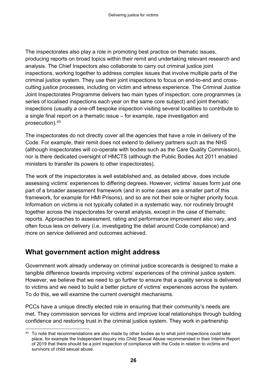The inspectorates also play a role in promoting best practice on thematic issues, producing reports on broad topics within their remit and undertaking relevant research and analysis. The Chief Inspectors also collaborate to carry out criminal justice joint inspections, working together to address complex issues that involve multiple parts of the criminal justice system. They use their joint inspections to focus on end-to-end and crosscutting justice processes, including on victim and witness experience. The Criminal Justice Joint Inspectorates Programme delivers two main types of inspection: core programmes (a series of localised inspections each year on the same core subject) and joint thematic inspections (usually a one-off bespoke inspection visiting several localities to contribute to a single final report on a thematic issue – for example, rape investigation and prosecution)[.43](#page-29-0)

The inspectorates do not directly cover all the agencies that have a role in delivery of the Code. For example, their remit does not extend to delivery partners such as the NHS (although inspectorates will co-operate with bodies such as the Care Quality Commission), nor is there dedicated oversight of HMCTS (although the Public Bodies Act 2011 enabled ministers to transfer its powers to other inspectorates).

The work of the inspectorates is well established and, as detailed above, does include assessing victims' experiences to differing degrees. However, victims' issues form just one part of a broader assessment framework (and in some cases are a smaller part of this framework, for example for HMI Prisons), and so are not their sole or higher priority focus. Information on victims is not typically collated in a systematic way, nor routinely brought together across the inspectorates for overall analysis, except in the case of thematic reports. Approaches to assessment, rating and performance improvement also vary, and often focus less on delivery (i.e. investigating the detail around Code compliance) and more on service delivered and outcomes achieved.

## **What government action might address**

Government work already underway on criminal justice scorecards is designed to make a tangible difference towards improving victims' experiences of the criminal justice system. However, we believe that we need to go further to ensure that a quality service is delivered to victims and we need to build a better picture of victims' experiences across the system. To do this, we will examine the current oversight mechanisms.

PCCs have a unique directly elected role in ensuring that their community's needs are met. They commission services for victims and improve local relationships through building confidence and restoring trust in the criminal justice system. They work in partnership

<span id="page-29-0"></span> $43$  To note that recommendations are also made by other bodies as to what joint inspections could take place, for example the Independent Inquiry into Child Sexual Abuse recommended in their Interim Report of 2019 that there should be a joint inspection of compliance with the Code in relation to victims and survivors of child sexual abuse.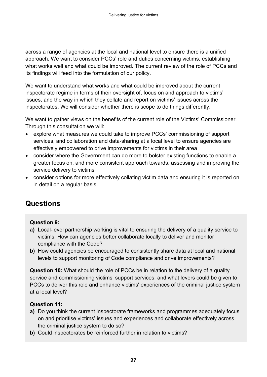across a range of agencies at the local and national level to ensure there is a unified approach. We want to consider PCCs' role and duties concerning victims, establishing what works well and what could be improved. The current review of the role of PCCs and its findings will feed into the formulation of our policy.

We want to understand what works and what could be improved about the current inspectorate regime in terms of their oversight of, focus on and approach to victims' issues, and the way in which they collate and report on victims' issues across the inspectorates. We will consider whether there is scope to do things differently.

We want to gather views on the benefits of the current role of the Victims' Commissioner. Through this consultation we will:

- explore what measures we could take to improve PCCs' commissioning of support services, and collaboration and data-sharing at a local level to ensure agencies are effectively empowered to drive improvements for victims in their area
- consider where the Government can do more to bolster existing functions to enable a greater focus on, and more consistent approach towards, assessing and improving the service delivery to victims
- consider options for more effectively collating victim data and ensuring it is reported on in detail on a regular basis.

## **Questions**

#### **Question 9:**

- **a)** Local-level partnership working is vital to ensuring the delivery of a quality service to victims. How can agencies better collaborate locally to deliver and monitor compliance with the Code?
- **b)** How could agencies be encouraged to consistently share data at local and national levels to support monitoring of Code compliance and drive improvements?

**Question 10:** What should the role of PCCs be in relation to the delivery of a quality service and commissioning victims' support services, and what levers could be given to PCCs to deliver this role and enhance victims' experiences of the criminal justice system at a local level?

#### **Question 11:**

- **a)** Do you think the current inspectorate frameworks and programmes adequately focus on and prioritise victims' issues and experiences and collaborate effectively across the criminal justice system to do so?
- **b)** Could inspectorates be reinforced further in relation to victims?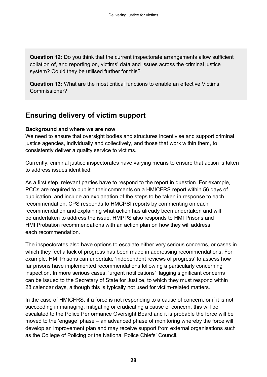**Question 12:** Do you think that the current inspectorate arrangements allow sufficient collation of, and reporting on, victims' data and issues across the criminal justice system? Could they be utilised further for this?

**Question 13:** What are the most critical functions to enable an effective Victims' Commissioner?

## **Ensuring delivery of victim support**

#### **Background and where we are now**

We need to ensure that oversight bodies and structures incentivise and support criminal justice agencies, individually and collectively, and those that work within them, to consistently deliver a quality service to victims.

Currently, criminal justice inspectorates have varying means to ensure that action is taken to address issues identified.

As a first step, relevant parties have to respond to the report in question. For example, PCCs are required to publish their comments on a HMICFRS report within 56 days of publication, and include an explanation of the steps to be taken in response to each recommendation. CPS responds to HMCPSI reports by commenting on each recommendation and explaining what action has already been undertaken and will be undertaken to address the issue. HMPPS also responds to HMI Prisons and HMI Probation recommendations with an action plan on how they will address each recommendation.

The inspectorates also have options to escalate either very serious concerns, or cases in which they feel a lack of progress has been made in addressing recommendations. For example, HMI Prisons can undertake 'independent reviews of progress' to assess how far prisons have implemented recommendations following a particularly concerning inspection. In more serious cases, 'urgent notifications' flagging significant concerns can be issued to the Secretary of State for Justice, to which they must respond within 28 calendar days, although this is typically not used for victim-related matters.

In the case of HMICFRS, if a force is not responding to a cause of concern, or if it is not succeeding in managing, mitigating or eradicating a cause of concern, this will be escalated to the Police Performance Oversight Board and it is probable the force will be moved to the 'engage' phase – an advanced phase of monitoring whereby the force will develop an improvement plan and may receive support from external organisations such as the College of Policing or the National Police Chiefs' Council.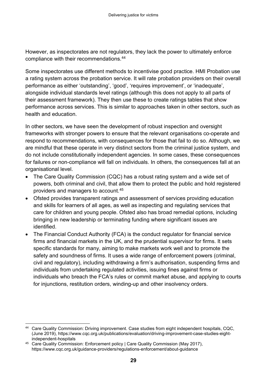However, as inspectorates are not regulators, they lack the power to ultimately enforce compliance with their recommendations.[44](#page-32-0)

Some inspectorates use different methods to incentivise good practice. HMI Probation use a rating system across the probation service. It will rate probation providers on their overall performance as either 'outstanding', 'good', 'requires improvement', or 'inadequate', alongside individual standards level ratings (although this does not apply to all parts of their assessment framework). They then use these to create ratings tables that show performance across services. This is similar to approaches taken in other sectors, such as health and education.

In other sectors, we have seen the development of robust inspection and oversight frameworks with stronger powers to ensure that the relevant organisations co-operate and respond to recommendations, with consequences for those that fail to do so. Although, we are mindful that these operate in very distinct sectors from the criminal justice system, and do not include constitutionally independent agencies. In some cases, these consequences for failures or non-compliance will fall on individuals. In others, the consequences fall at an organisational level.

- The Care Quality Commission (CQC) has a robust rating system and a wide set of powers, both criminal and civil, that allow them to protect the public and hold registered providers and managers to account. [45](#page-32-1)
- Ofsted provides transparent ratings and assessment of services providing education and skills for learners of all ages, as well as inspecting and regulating services that care for children and young people. Ofsted also has broad remedial options, including bringing in new leadership or terminating funding where significant issues are identified.
- The Financial Conduct Authority (FCA) is the conduct regulator for financial service firms and financial markets in the UK, and the prudential supervisor for firms. It sets specific standards for many, aiming to make markets work well and to promote the safety and soundness of firms. It uses a wide range of enforcement powers (criminal, civil and regulatory), including withdrawing a firm's authorisation, suspending firms and individuals from undertaking regulated activities, issuing fines against firms or individuals who breach the FCA's rules or commit market abuse, and applying to courts for injunctions, restitution orders, winding-up and other insolvency orders.

<span id="page-32-0"></span><sup>44</sup> Care Quality Commission: Driving improvement. Case studies from eight independent hospitals, CQC, (June 2019), [https://www.cqc.org.uk/publications/evaluation/driving-improvement-case-studies-eight](https://www.cqc.org.uk/publications/evaluation/driving-improvement-case-studies-eight-independent-hospitals)[independent-hospitals](https://www.cqc.org.uk/publications/evaluation/driving-improvement-case-studies-eight-independent-hospitals)

<span id="page-32-1"></span><sup>45</sup> Care Quality Commission: [Enforcement policy | Care Quality Commission \(May 2017\),](https://www.cqc.org.uk/guidance-providers/regulations-enforcement/enforcement-policy) <https://www.cqc.org.uk/guidance-providers/regulations-enforcement/about-guidance>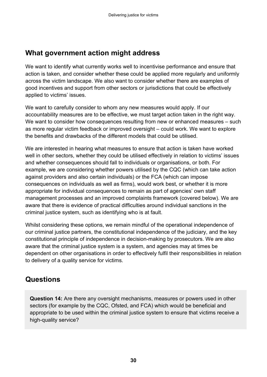## **What government action might address**

We want to identify what currently works well to incentivise performance and ensure that action is taken, and consider whether these could be applied more regularly and uniformly across the victim landscape. We also want to consider whether there are examples of good incentives and support from other sectors or jurisdictions that could be effectively applied to victims' issues.

We want to carefully consider to whom any new measures would apply. If our accountability measures are to be effective, we must target action taken in the right way. We want to consider how consequences resulting from new or enhanced measures – such as more regular victim feedback or improved oversight – could work. We want to explore the benefits and drawbacks of the different models that could be utilised.

We are interested in hearing what measures to ensure that action is taken have worked well in other sectors, whether they could be utilised effectively in relation to victims' issues and whether consequences should fall to individuals or organisations, or both. For example, we are considering whether powers utilised by the CQC (which can take action against providers and also certain individuals) or the FCA (which can impose consequences on individuals as well as firms), would work best, or whether it is more appropriate for individual consequences to remain as part of agencies' own staff management processes and an improved complaints framework (covered below). We are aware that there is evidence of practical difficulties around individual sanctions in the criminal justice system, such as identifying who is at fault.

Whilst considering these options, we remain mindful of the operational independence of our criminal justice partners, the constitutional independence of the judiciary, and the key constitutional principle of independence in decision-making by prosecutors. We are also aware that the criminal justice system is a system, and agencies may at times be dependent on other organisations in order to effectively fulfil their responsibilities in relation to delivery of a quality service for victims.

## **Questions**

**Question 14:** Are there any oversight mechanisms, measures or powers used in other sectors (for example by the CQC, Ofsted, and FCA) which would be beneficial and appropriate to be used within the criminal justice system to ensure that victims receive a high-quality service?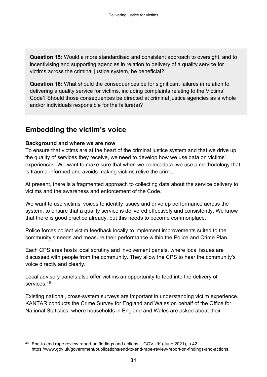**Question 15:** Would a more standardised and consistent approach to oversight, and to incentivising and supporting agencies in relation to delivery of a quality service for victims across the criminal justice system, be beneficial?

**Question 16:** What should the consequences be for significant failures in relation to delivering a quality service for victims, including complaints relating to the Victims' Code? Should those consequences be directed at criminal justice agencies as a whole and/or individuals responsible for the failure(s)?

## **Embedding the victim's voice**

#### **Background and where we are now**

To ensure that victims are at the heart of the criminal justice system and that we drive up the quality of services they receive, we need to develop how we use data on victims' experiences. We want to make sure that when we collect data, we use a methodology that is trauma-informed and avoids making victims relive the crime.

At present, there is a fragmented approach to collecting data about the service delivery to victims and the awareness and enforcement of the Code.

We want to use victims' voices to identify issues and drive up performance across the system, to ensure that a quality service is delivered effectively and consistently. We know that there is good practice already, but this needs to become commonplace.

Police forces collect victim feedback locally to implement improvements suited to the community's needs and measure their performance within the Police and Crime Plan.

Each CPS area hosts local scrutiny and involvement panels, where local issues are discussed with people from the community. They allow the CPS to hear the community's voice directly and clearly.

Local advisory panels also offer victims an opportunity to feed into the delivery of services.<sup>[46](#page-34-0)</sup>

Existing national, cross-system surveys are important in understanding victim experience. KANTAR conducts the Crime Survey for England and Wales on behalf of the Office for National Statistics, where households in England and Wales are asked about their

<span id="page-34-0"></span><sup>46</sup> End-to-end rape review report on findings and actions – GOV.UK (June 2021), p.42, <https://www.gov.uk/government/publications/end-to-end-rape-review-report-on-findings-and-actions>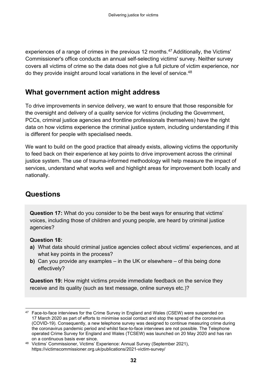experiences of a range of crimes in the previous 12 months.<sup>[47](#page-35-0)</sup> Additionally, the Victims' Commissioner's office conducts an annual self-selecting victims' survey. Neither survey covers all victims of crime so the data does not give a full picture of victim experience, nor do they provide insight around local variations in the level of service.<sup>[48](#page-35-1)</sup>

## **What government action might address**

To drive improvements in service delivery, we want to ensure that those responsible for the oversight and delivery of a quality service for victims (including the Government, PCCs, criminal justice agencies and frontline professionals themselves) have the right data on how victims experience the criminal justice system, including understanding if this is different for people with specialised needs.

We want to build on the good practice that already exists, allowing victims the opportunity to feed back on their experience at key points to drive improvement across the criminal justice system. The use of trauma-informed methodology will help measure the impact of services, understand what works well and highlight areas for improvement both locally and nationally.

## **Questions**

**Question 17:** What do you consider to be the best ways for ensuring that victims' voices, including those of children and young people, are heard by criminal justice agencies?

#### **Question 18:**

- **a)** What data should criminal justice agencies collect about victims' experiences, and at what key points in the process?
- **b)** Can you provide any examples in the UK or elsewhere of this being done effectively?

**Question 19:** How might victims provide immediate feedback on the service they receive and its quality (such as text message, online surveys etc.)?

<span id="page-35-0"></span><sup>&</sup>lt;sup>47</sup> Face-to-face interviews for the Crime Survey in England and Wales (CSEW) were suspended on 17 March 2020 as part of efforts to minimise social contact and stop the spread of the coronavirus (COVID-19). Consequently, a new telephone survey was designed to continue measuring crime during the coronavirus pandemic period and whilst face-to-face interviews are not possible. The Telephone operated Crime Survey for England and Wales (TCSEW) was launched on 20 May 2020 and has ran on a continuous basis ever since.

<span id="page-35-1"></span><sup>48</sup> Victims' Commissioner, Victims' Experience: Annual Survey (September 2021), <https://victimscommissioner.org.uk/publications/2021-victim-survey/>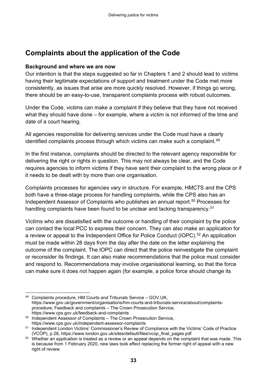## **Complaints about the application of the Code**

#### **Background and where we are now**

Our intention is that the steps suggested so far in Chapters 1 and 2 should lead to victims having their legitimate expectations of support and treatment under the Code met more consistently, as issues that arise are more quickly resolved. However, if things go wrong, there should be an easy-to-use, transparent complaints process with robust outcomes.

Under the Code, victims can make a complaint if they believe that they have not received what they should have done – for example, where a victim is not informed of the time and date of a court hearing.

All agencies responsible for delivering services under the Code must have a clearly identified complaints process through which victims can make such a complaint. [49](#page-36-0)

In the first instance, complaints should be directed to the relevant agency responsible for delivering the right or rights in question. This may not always be clear, and the Code requires agencies to inform victims if they have sent their complaint to the wrong place or if it needs to be dealt with by more than one organisation.

Complaints processes for agencies vary in structure. For example, HMCTS and the CPS both have a three-stage process for handling complaints, while the CPS also has an Independent Assessor of Complaints who publishes an annual report.<sup>[50](#page-36-1)</sup> Processes for handling complaints have been found to be unclear and lacking transparency.<sup>[51](#page-36-2)</sup>

Victims who are dissatisfied with the outcome or handling of their complaint by the police can contact the local PCC to express their concern. They can also make an application for a review or appeal to the Independent Office for Police Conduct (IOPC).[52](#page-36-3) An application must be made within 28 days from the day after the date on the letter explaining the outcome of the complaint. The IOPC can direct that the police reinvestigate the complaint or reconsider its findings. It can also make recommendations that the police must consider and respond to. Recommendations may involve organisational learning, so that the force can make sure it does not happen again (for example, a police force should change its

<span id="page-36-0"></span><sup>49</sup> Complaints procedure, HM Courts and Tribunals Service – GOV.UK, [https://www.](https://www/)gov.uk/government/organisations/hm-courts-and-tribunals-service/about/complaintsprocedure; Feedback and complaints – The Crown Prosecution Service,

<span id="page-36-1"></span>https://www.cps.gov.uk/feedback-and-complaints<br><sup>50</sup> Independent Assessor of Complaints – The Crown Prosecution Service,<br>https://www.cps.gov.uk/independent-assessor-complaints

<span id="page-36-2"></span><sup>&</sup>lt;sup>51</sup> Independent London Victims' Commissioner's Review of Compliance with the Victims' Code of Practice (VCOP), p.28, https://www.london.gov.uk/sites/default/files/vcop final pages.pdf

<span id="page-36-3"></span> $52$  Whether an application is treated as a review or an appeal depends on the complaint that was made. This is because from 1 February 2020, new laws took effect replacing the former right of appeal with a new right of review.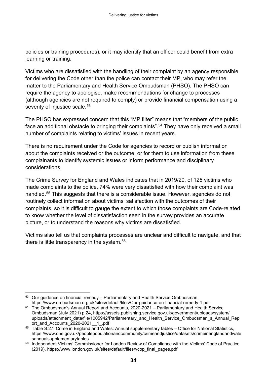policies or training procedures), or it may identify that an officer could benefit from extra learning or training.

Victims who are dissatisfied with the handling of their complaint by an agency responsible for delivering the Code other than the police can contact their MP, who may refer the matter to the Parliamentary and Health Service Ombudsman (PHSO). The PHSO can require the agency to apologise, make recommendations for change to processes (although agencies are not required to comply) or provide financial compensation using a severity of injustice scale.<sup>[53](#page-37-0)</sup>

The PHSO has expressed concern that this "MP filter" means that "members of the public face an additional obstacle to bringing their complaints".<sup>[54](#page-37-1)</sup> They have only received a small number of complaints relating to victims' issues in recent years.

There is no requirement under the Code for agencies to record or publish information about the complaints received or the outcome, or for them to use information from these complainants to identify systemic issues or inform performance and disciplinary considerations.

The Crime Survey for England and Wales indicates that in 2019/20, of 125 victims who made complaints to the police, 74% were very dissatisfied with how their complaint was handled.<sup>[55](#page-37-2)</sup> This suggests that there is a considerable issue. However, agencies do not routinely collect information about victims' satisfaction with the outcomes of their complaints, so it is difficult to gauge the extent to which those complaints are Code-related to know whether the level of dissatisfaction seen in the survey provides an accurate picture, or to understand the reasons why victims are dissatisfied.

Victims also tell us that complaints processes are unclear and difficult to navigate, and that there is little transparency in the system.<sup>[56](#page-37-3)</sup>

<span id="page-37-0"></span><sup>53</sup> Our guidance on financial remedy – Parliamentary and Health Service Ombudsman, <https://www.ombudsman.org.uk/sites/default/files/Our-guidance-on-financial-remedy-1.pdf>

<span id="page-37-1"></span><sup>54</sup> The Ombudsman's Annual Report and Accounts, 2020-2021 – Parliamentary and Health Service Ombudsman (July 2021) p.24, [https://assets.publishing.service.gov.uk/government/uploads/system/](https://assets.publishing.service.gov.uk/government/uploads/system/uploads/attachment_data/file/1005942/Parliamentary_and_Health_Service_Ombudsman_s_Annual_Report_and_Accounts_2020-2021__1_.pdf) [uploads/attachment\\_data/file/1005942/Parliamentary\\_and\\_Health\\_Service\\_Ombudsman\\_s\\_Annual\\_Rep](https://assets.publishing.service.gov.uk/government/uploads/system/uploads/attachment_data/file/1005942/Parliamentary_and_Health_Service_Ombudsman_s_Annual_Report_and_Accounts_2020-2021__1_.pdf)<br>ort and Accounts 2020-2021\_\_1\_.pdf

<span id="page-37-2"></span><sup>55</sup> Table S.27, [Crime in England and Wales: Annual supplementary tables – Office for National Statistics,](https://www.ons.gov.uk/peoplepopulationandcommunity/crimeandjustice/datasets/crimeinenglandandwalesannualsupplementarytables) [https://www.ons.gov.uk/peoplepopulationandcommunity/crimeandjustice/datasets/crimeinenglandandwale](https://www.ons.gov.uk/peoplepopulationandcommunity/crimeandjustice/datasets/crimeinenglandandwalesannualsupplementarytables) [sannualsupplementarytables](https://www.ons.gov.uk/peoplepopulationandcommunity/crimeandjustice/datasets/crimeinenglandandwalesannualsupplementarytables)

<span id="page-37-3"></span><sup>56</sup> Independent Victims' Commissioner for London Review of Compliance with the Victims' Code of Practice (2019), [https://www.london.gov.uk/sites/default/files/vcop\\_final\\_pages.pdf](https://www.london.gov.uk/sites/default/files/vcop_final_pages.pdf)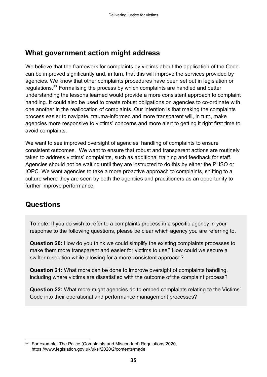## **What government action might address**

We believe that the framework for complaints by victims about the application of the Code can be improved significantly and, in turn, that this will improve the services provided by agencies. We know that other complaints procedures have been set out in legislation or regulations.<sup>[57](#page-38-0)</sup> Formalising the process by which complaints are handled and better understanding the lessons learned would provide a more consistent approach to complaint handling. It could also be used to create robust obligations on agencies to co-ordinate with one another in the reallocation of complaints. Our intention is that making the complaints process easier to navigate, trauma-informed and more transparent will, in turn, make agencies more responsive to victims' concerns and more alert to getting it right first time to avoid complaints.

We want to see improved oversight of agencies' handling of complaints to ensure consistent outcomes. We want to ensure that robust and transparent actions are routinely taken to address victims' complaints, such as additional training and feedback for staff. Agencies should not be waiting until they are instructed to do this by either the PHSO or IOPC. We want agencies to take a more proactive approach to complaints, shifting to a culture where they are seen by both the agencies and practitioners as an opportunity to further improve performance.

## **Questions**

To note: If you do wish to refer to a complaints process in a specific agency in your response to the following questions, please be clear which agency you are referring to.

**Question 20:** How do you think we could simplify the existing complaints processes to make them more transparent and easier for victims to use? How could we secure a swifter resolution while allowing for a more consistent approach?

**Question 21:** What more can be done to improve oversight of complaints handling, including where victims are dissatisfied with the outcome of the complaint process?

**Question 22:** What more might agencies do to embed complaints relating to the Victims' Code into their operational and performance management processes?

<span id="page-38-0"></span><sup>57</sup> For example: [The Police \(Complaints and Misconduct\) Regulations 2020,](https://www.legislation.gov.uk/uksi/2020/2/contents/made) <https://www.legislation.gov.uk/uksi/2020/2/contents/made>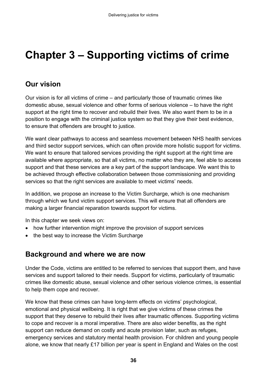## <span id="page-39-0"></span>**Chapter 3 – Supporting victims of crime**

## **Our vision**

Our vision is for all victims of crime – and particularly those of traumatic crimes like domestic abuse, sexual violence and other forms of serious violence – to have the right support at the right time to recover and rebuild their lives. We also want them to be in a position to engage with the criminal justice system so that they give their best evidence, to ensure that offenders are brought to justice.

We want clear pathways to access and seamless movement between NHS health services and third sector support services, which can often provide more holistic support for victims. We want to ensure that tailored services providing the right support at the right time are available where appropriate, so that all victims, no matter who they are, feel able to access support and that these services are a key part of the support landscape. We want this to be achieved through effective collaboration between those commissioning and providing services so that the right services are available to meet victims' needs.

In addition, we propose an increase to the Victim Surcharge, which is one mechanism through which we fund victim support services. This will ensure that all offenders are making a larger financial reparation towards support for victims.

In this chapter we seek views on:

- how further intervention might improve the provision of support services
- the best way to increase the Victim Surcharge

#### **Background and where we are now**

Under the Code, victims are entitled to be referred to services that support them, and have services and support tailored to their needs. Support for victims, particularly of traumatic crimes like domestic abuse, sexual violence and other serious violence crimes, is essential to help them cope and recover.

We know that these crimes can have long-term effects on victims' psychological, emotional and physical wellbeing. It is right that we give victims of these crimes the support that they deserve to rebuild their lives after traumatic offences. Supporting victims to cope and recover is a moral imperative. There are also wider benefits, as the right support can reduce demand on costly and acute provision later, such as refuges, emergency services and statutory mental health provision. For children and young people alone, we know that nearly £17 billion per year is spent in England and Wales on the cost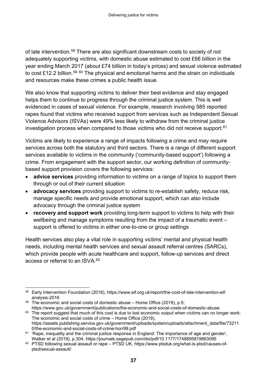of late intervention.[58](#page-40-0) There are also significant downstream costs to society of not adequately supporting victims, with domestic abuse estimated to cost £66 billion in the year ending March 2017 (about £74 billion in today's prices) and sexual violence estimated to cost £12.2 billion.<sup>[59](#page-40-1) [60](#page-40-2)</sup> The physical and emotional harms and the strain on individuals and resources make these crimes a public health issue.

We also know that supporting victims to deliver their best evidence and stay engaged helps them to continue to progress through the criminal justice system. This is well evidenced in cases of sexual violence. For example, research involving 585 reported rapes found that victims who received support from services such as Independent Sexual Violence Advisors (ISVAs) were 49% less likely to withdraw from the criminal justice investigation process when compared to those victims who did not receive support.<sup>[61](#page-40-3)</sup>

Victims are likely to experience a range of impacts following a crime and may require services across both the statutory and third sectors. There is a range of different support services available to victims in the community ('community-based support') following a crime. From engagement with the support sector, our working definition of communitybased support provision covers the following services:

- **advice services** providing information to victims on a range of topics to support them through or out of their current situation
- **advocacy services** providing support to victims to re-establish safety, reduce risk, manage specific needs and provide emotional support, which can also include advocacy through the criminal justice system
- **recovery and support work** providing long-term support to victims to help with their wellbeing and manage symptoms resulting from the impact of a traumatic event – support is offered to victims in either one-to-one or group settings

Health services also play a vital role in supporting victims' mental and physical health needs, including mental health services and sexual assault referral centres (SARCs), which provide people with acute healthcare and support, follow-up services and direct access or referral to an ISVA.[62](#page-40-4) 

<span id="page-40-0"></span><sup>58</sup> Early Intervention Foundation (2016), [https://www.eif.org.uk/report/the-cost-of-late-intervention-eif](https://www.eif.org.uk/report/the-cost-of-late-intervention-eif-analysis-2016)[analysis-2016](https://www.eif.org.uk/report/the-cost-of-late-intervention-eif-analysis-2016)

<span id="page-40-1"></span> $\frac{59}{2}$  The economic and social costs of domestic abuse – Home Office (2019), p.5; <https://www.gov.uk/government/publications/the-economic-and-social-costs-of-domestic-abuse>

<span id="page-40-2"></span><sup>&</sup>lt;sup>60</sup> The report suggest that much of this cost is due to lost economic output when victims can no longer work: [The economic and social costs of crime – Home Office \(2018\),](https://assets.publishing.service.gov.uk/government/uploads/system/uploads/attachment_data/file/732110/the-economic-and-social-costs-of-crime-horr99.pdf) [https://assets.publishing.service.gov.uk/government/uploads/system/uploads/attachment\\_data/file/73211](https://assets.publishing.service.gov.uk/government/uploads/system/uploads/attachment_data/file/732110/the-economic-and-social-costs-of-crime-horr99.pdf) [0/the-economic-and-social-costs-of-crime-horr99.pdf](https://assets.publishing.service.gov.uk/government/uploads/system/uploads/attachment_data/file/732110/the-economic-and-social-costs-of-crime-horr99.pdf)

<span id="page-40-3"></span> $61$  'Rape, inequality and the criminal justice response in England: The importance of age and gender', Walker et al (2019), p.304,<https://journals.sagepub.com/doi/pdf/10.1177/1748895819863095>

<span id="page-40-4"></span><sup>62</sup> PTSD following sexual assault or rape – PTSD UK, [https://www.ptsduk.org/what-is-ptsd/causes-of](https://www.ptsduk.org/what-is-ptsd/causes-of-ptsd/sexual-assault/)[ptsd/sexual-assault/](https://www.ptsduk.org/what-is-ptsd/causes-of-ptsd/sexual-assault/)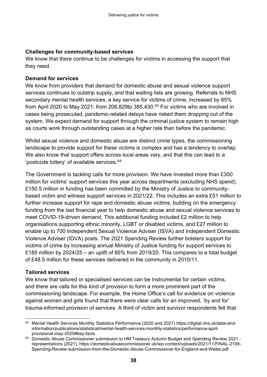#### **Challenges for community-based services**

We know that there continue to be challenges for victims in accessing the support that they need.

#### **Demand for services**

We know from providers that demand for domestic abuse and sexual violence support services continues to outstrip supply, and that waiting lists are growing. Referrals to NHS secondary mental health services, a key service for victims of crime, increased by 85% from April 2020 to May 2021: from 208,829to 385,430.<sup>[63](#page-41-0)</sup> For victims who are involved in cases being prosecuted, pandemic-related delays have risked them dropping out of the system. We expect demand for support through the criminal justice system to remain high as courts work through outstanding cases at a higher rate than before the pandemic.

Whilst sexual violence and domestic abuse are distinct crime types, the commissioning landscape to provide support for these victims is complex and has a tendency to overlap. We also know that support offers across local areas vary, and that this can lead to a 'postcode lottery' of available services.<sup>64</sup>

The Government is tackling calls for more provision. We have invested more than £300 million for victims' support services this year across departments (excluding NHS spend). £150.5 million in funding has been committed by the Ministry of Justice to communitybased victim and witness support services in 2021/22. This includes an extra £51 million to further increase support for rape and domestic abuse victims, building on the emergency funding from the last financial year to help domestic abuse and sexual violence services to meet COVID-19-driven demand. This additional funding included £2 million to help organisations supporting ethnic minority, LGBT or disabled victims, and £27 million to enable up to 700 Independent Sexual Violence Adviser (ISVA) and Independent Domestic Violence Adviser (IDVA) posts. The 2021 Spending Review further bolsters support for victims of crime by increasing annual Ministry of Justice funding for support services to £185 million by 2024/25 – an uplift of 85% from 2019/20. This compares to a total budget of £48.5 million for these services delivered in the community in 2010/11.

#### **Tailored services**

We know that tailored or specialised services can be instrumental for certain victims, and there are calls for this kind of provision to form a more prominent part of the commissioning landscape. For example, the Home Office's call for evidence on violence against women and girls found that there were clear calls for an improved, 'by and for' trauma-informed provision of services. A third of victim and survivor respondents felt that

<span id="page-41-0"></span><sup>63</sup> Mental Health Services Monthly Statistics Performance (2020 and 2021) [https://digital.nhs.uk/data-and](https://digital.nhs.uk/data-and-information/publications/statistical/mental-health-services-monthly-statistics/performance-april-provisional-may-2020#key-facts)[information/publications/statistical/mental-health-services-monthly-statistics/performance-april-](https://digital.nhs.uk/data-and-information/publications/statistical/mental-health-services-monthly-statistics/performance-april-provisional-may-2020#key-facts)

<span id="page-41-1"></span><sup>64</sup> Domestic Abuse Commissioner submission to HM Treasury Autumn Budget and Spending Review 2021 representations (2021), [https://domesticabusecommissioner.uk/wp-content/uploads/2021/11/FINAL-2109-](https://domesticabusecommissioner.uk/wp-content/uploads/2021/11/FINAL-2109-Spending-Review-submission-from-the-Domestic-Abuse-Commissioner-for-England-and-Wales.pdf) [Spending-Review-submission-from-the-Domestic-Abuse-Commissioner-for-England-and-Wales.pdf](https://domesticabusecommissioner.uk/wp-content/uploads/2021/11/FINAL-2109-Spending-Review-submission-from-the-Domestic-Abuse-Commissioner-for-England-and-Wales.pdf)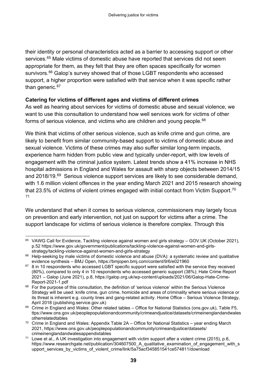their identity or personal characteristics acted as a barrier to accessing support or other services.<sup>[65](#page-42-0)</sup> Male victims of domestic abuse have reported that services did not seem appropriate for them, as they felt that they are often spaces specifically for women survivors.<sup>[66](#page-42-1)</sup> Galop's survey showed that of those LGBT respondents who accessed support, a higher proportion were satisfied with that service when it was specific rather than generic.<sup>67</sup>

#### **Catering for victims of different ages and victims of different crimes**

As well as hearing about services for victims of domestic abuse and sexual violence, we want to use this consultation to understand how well services work for victims of other forms of serious violence, and victims who are children and young people.<sup>68</sup>

We think that victims of other serious violence, such as knife crime and gun crime, are likely to benefit from similar community-based support to victims of domestic abuse and sexual violence. Victims of these crimes may also suffer similar long-term impacts, experience harm hidden from public view and typically under-report, with low levels of engagement with the criminal justice system. Latest trends show a 41% increase in NHS hospital admissions in England and Wales for assault with sharp objects between 2014/15 and 2018/19.<sup>[69](#page-42-4)</sup> Serious violence support services are likely to see considerable demand, with 1.6 million violent offences in the year ending March 2021 and 2015 research showing that 23.5% of victims of violent crimes engaged with initial contact from Victim Support.<sup>70</sup> [71](#page-42-6)

We understand that when it comes to serious violence, commissioners may largely focus on prevention and early intervention, not just on support for victims after a crime. The support landscape for victims of serious violence is therefore complex. Through this

<span id="page-42-0"></span><sup>65</sup> VAWG Call for Evidence, [Tackling violence against women and girls strategy – GOV.UK \(October 2021\),](https://www.gov.uk/government/publications/tackling-violence-against-women-and-girls-strategy/tackling-violence-against-women-and-girls-strategy) p.52 [https://www.gov.uk/government/publications/tackling-violence-against-women-and-girls-](https://www.gov.uk/government/publications/tackling-violence-against-women-and-girls-strategy/tackling-violence-against-women-and-girls-strategy)

<span id="page-42-1"></span>strategy/tackling-violence-against-women-and-girls-strategy<br><sup>66</sup> Help-seeking by male victims of domestic violence and abuse (DVA): a systematic review and qualitative<br>evidence synthesis – BMJ Open, https://bmjopen.bmj.com

<span id="page-42-2"></span> $67$  8 in 10 respondents who accessed LGBT specific support were satisfied with the service they received (80%), compared to only 4 in 10 respondents who accessed generic support (38%); Hate Crime Report 2021 – Galop (June 2021), p.8, [https://galop.org.uk/wp-content/uploads/2021/06/Galop-Hate-Crime-](https://galop.org.uk/wp-content/uploads/2021/06/Galop-Hate-Crime-Report-2021-1.pdf)

<span id="page-42-3"></span> $68$  For the purpose of this consultation, the definition of 'serious violence' within the Serious Violence Strategy will be used: knife crime, gun crime, homicide and areas of criminality where serious violence or its threat is inherent e.g. county lines and gang-related activity. [Home Office – Serious Violence Strategy,](https://assets.publishing.service.gov.uk/government/uploads/system/uploads/attachment_data/file/698009/serious-violence-strategy.pdf)  [April 2018 \(publishing.service.gov.uk\)](https://assets.publishing.service.gov.uk/government/uploads/system/uploads/attachment_data/file/698009/serious-violence-strategy.pdf)

<span id="page-42-4"></span><sup>69</sup> Crime [in England and Wales: Other related tables – Office for National Statistics \(ons.gov.uk\),](https://gbr01.safelinks.protection.outlook.com/?url=https%3A%2F%2Fwww.ons.gov.uk%2Fpeoplepopulationandcommunity%2Fcrimeandjustice%2Fdatasets%2Fcrimeinenglandandwalesotherrelatedtables&data=04%7C01%7CHelen.White6%40homeoffice.gov.uk%7Cc075ec212e34491e7ed808d961944024%7Cf24d93ecb2914192a08af182245945c2%7C0%7C0%7C637648111617542129%7CUnknown%7CTWFpbGZsb3d8eyJWIjoiMC4wLjAwMDAiLCJQIjoiV2luMzIiLCJBTiI6Ik1haWwiLCJXVCI6Mn0%3D%7C1000&sdata=CiuzotH8qopuJ8Uf8Gx3wVBSIk5kWPMvq6WKyQSWHos%3D&reserved=0) Table F5, ttps://www.ons.gov.uk/peoplepopulationandcommunity/crimeandjustice/datasets/crimeinenglandandwales otherrelatedtables

<span id="page-42-5"></span><sup>70</sup> Crime in England and Wales: Appendix Table 2A – Office for National Statistics – year ending March 2021, [https://www.ons.gov.uk/peoplepopulationandcommunity/crimeandjustice/datasets/](https://www.ons.gov.uk/peoplepopulationandcommunity/crimeandjustice/datasets/crimeinenglandandwalesappendixtables)

<span id="page-42-6"></span> $71$  Lowe et al., A UK investigation into engagement with victim support after a violent crime (2015), p.6, [https://www.researchgate.net/publication/304607500\\_A\\_qualitative\\_examination\\_of\\_engagement\\_with\\_s](https://www.researchgate.net/publication/304607500_A_qualitative_examination_of_engagement_with_support_services_by_victims_of_violent_crime/link/5a75acf345851541ce574811/download) [upport\\_services\\_by\\_victims\\_of\\_violent\\_crime/link/5a75acf345851541ce574811/download](https://www.researchgate.net/publication/304607500_A_qualitative_examination_of_engagement_with_support_services_by_victims_of_violent_crime/link/5a75acf345851541ce574811/download)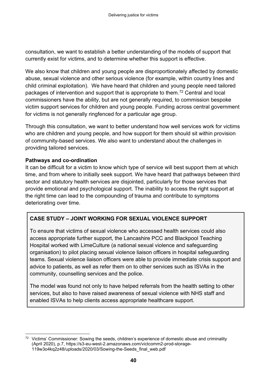consultation, we want to establish a better understanding of the models of support that currently exist for victims, and to determine whether this support is effective.

We also know that children and young people are disproportionately affected by domestic abuse, sexual violence and other serious violence (for example, within country lines and child criminal exploitation). We have heard that children and young people need tailored packages of intervention and support that is appropriate to them.[72](#page-43-0) Central and local commissioners have the ability, but are not generally required, to commission bespoke victim support services for children and young people. Funding across central government for victims is not generally ringfenced for a particular age group.

Through this consultation, we want to better understand how well services work for victims who are children and young people, and how support for them should sit within provision of community-based services. We also want to understand about the challenges in providing tailored services.

#### **Pathways and co-ordination**

It can be difficult for a victim to know which type of service will best support them at which time, and from where to initially seek support. We have heard that pathways between third sector and statutory health services are disjointed, particularly for those services that provide emotional and psychological support. The inability to access the right support at the right time can lead to the compounding of trauma and contribute to symptoms deteriorating over time.

#### **CASE STUDY – JOINT WORKING FOR SEXUAL VIOLENCE SUPPORT**

To ensure that victims of sexual violence who accessed health services could also access appropriate further support, the Lancashire PCC and Blackpool Teaching Hospital worked with LimeCulture (a national sexual violence and safeguarding organisation) to pilot placing sexual violence liaison officers in hospital safeguarding teams. Sexual violence liaison officers were able to provide immediate crisis support and advice to patients, as well as refer them on to other services such as ISVAs in the community, counselling services and the police.

The model was found not only to have helped referrals from the health setting to other services, but also to have raised awareness of sexual violence with NHS staff and enabled ISVAs to help clients access appropriate healthcare support.

<span id="page-43-0"></span><sup>&</sup>lt;sup>72</sup> Victims' Commissioner: Sowing the seeds, children's experience of domestic abuse and criminality (April 2020), p.7, [https://s3-eu-west-2.amazonaws.com/victcomm2-prod-storage-](https://s3-eu-west-2.amazonaws.com/victcomm2-prod-storage-119w3o4kq2z48/uploads/2020/03/Sowing-the-Seeds_final_web.pdf)[119w3o4kq2z48/uploads/2020/03/Sowing-the-Seeds\\_final\\_web.pdf](https://s3-eu-west-2.amazonaws.com/victcomm2-prod-storage-119w3o4kq2z48/uploads/2020/03/Sowing-the-Seeds_final_web.pdf)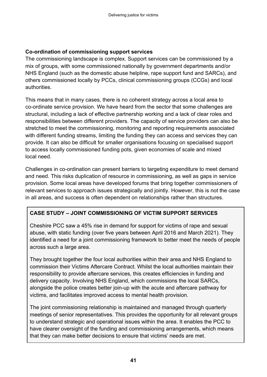#### **Co-ordination of commissioning support services**

The commissioning landscape is complex. Support services can be commissioned by a mix of groups, with some commissioned nationally by government departments and/or NHS England (such as the domestic abuse helpline, rape support fund and SARCs), and others commissioned locally by PCCs, clinical commissioning groups (CCGs) and local authorities.

This means that in many cases, there is no coherent strategy across a local area to co-ordinate service provision. We have heard from the sector that some challenges are structural, including a lack of effective partnership working and a lack of clear roles and responsibilities between different providers. The capacity of service providers can also be stretched to meet the commissioning, monitoring and reporting requirements associated with different funding streams, limiting the funding they can access and services they can provide. It can also be difficult for smaller organisations focusing on specialised support to access locally commissioned funding pots, given economies of scale and mixed local need.

Challenges in co-ordination can present barriers to targeting expenditure to meet demand and need. This risks duplication of resource in commissioning, as well as gaps in service provision. Some local areas have developed forums that bring together commissioners of relevant services to approach issues strategically and jointly. However, this is not the case in all areas, and success is often dependent on relationships rather than structures.

#### **CASE STUDY – JOINT COMMISSIONING OF VICTIM SUPPORT SERVICES**

Cheshire PCC saw a 45% rise in demand for support for victims of rape and sexual abuse, with static funding (over five years between April 2016 and March 2021). They identified a need for a joint commissioning framework to better meet the needs of people across such a large area.

They brought together the four local authorities within their area and NHS England to commission their Victims Aftercare Contract. Whilst the local authorities maintain their responsibility to provide aftercare services, this creates efficiencies in funding and delivery capacity. Involving NHS England, which commissions the local SARCs, alongside the police creates better join-up with the acute and aftercare pathway for victims, and facilitates improved access to mental health provision.

The joint commissioning relationship is maintained and managed through quarterly meetings of senior representatives. This provides the opportunity for all relevant groups to understand strategic and operational issues within the area. It enables the PCC to have clearer oversight of the funding and commissioning arrangements, which means that they can make better decisions to ensure that victims' needs are met.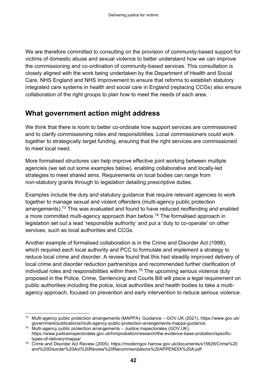We are therefore committed to consulting on the provision of community-based support for victims of domestic abuse and sexual violence to better understand how we can improve the commissioning and co-ordination of community-based services. This consultation is closely aligned with the work being undertaken by the Department of Health and Social Care, NHS England and NHS Improvement to ensure that reforms to establish statutory integrated care systems in health and social care in England (replacing CCGs) also ensure collaboration of the right groups to plan how to meet the needs of each area.

## **What government action might address**

We think that there is room to better co-ordinate how support services are commissioned and to clarify commissioning roles and responsibilities. Local commissioners could work together to strategically target funding, ensuring that the right services are commissioned to meet local need.

More formalised structures can help improve effective joint working between multiple agencies (we set out some examples below), enabling collaborative and locally-led strategies to meet shared aims. Requirements on local bodies can range from non-statutory grants through to legislation detailing prescriptive duties.

Examples include the duty and statutory guidance that require relevant agencies to work together to manage sexual and violent offenders (multi-agency public protection arrangements).<sup>73</sup> This was evaluated and found to have reduced reoffending and enabled a more committed multi-agency approach than before.<sup>[74](#page-45-1)</sup> The formalised approach in legislation set out a lead 'responsible authority' and put a 'duty to co-operate' on other services, such as local authorities and CCGs.

Another example of formalised collaboration is in the Crime and Disorder Act (1998), which required each local authority and PCC to formulate and implement a strategy to reduce local crime and disorder. A review found that this had steadily improved delivery of local crime and disorder reduction partnerships and recommended further clarification of individual roles and responsibilities within them.<sup>[75](#page-45-2)</sup> The upcoming serious violence duty proposed in the Police, Crime, Sentencing and Courts Bill will place a legal requirement on public authorities including the police, local authorities and health bodies to take a multiagency approach, focused on prevention and early intervention to reduce serious violence.

<span id="page-45-0"></span><sup>73</sup> [Multi-agency public protection arrangements \(MAPPA\):](https://www.gov.uk/government/publications/multi-agency-public-protection-arrangements-mappa-guidance) Guidance – GOV.UK (2021), [https://www.gov.uk/](https://www.gov.uk/government/publications/multi-agency-public-protection-arrangements-mappa-guidance) [government/publications/multi-agency-public-protection-arrangements-mappa-guidance](https://www.gov.uk/government/publications/multi-agency-public-protection-arrangements-mappa-guidance)

<span id="page-45-1"></span><sup>74</sup> Multi-agency public protection arrangements – Justice Inspectorates (GOV.UK), [https://www.justiceinspectorates.gov.uk/hmiprobation/research/the-evidence-base-probation/specific](https://www.justiceinspectorates.gov.uk/hmiprobation/research/the-evidence-base-probation/specific-types-of-delivery/mappa/)[types-of-delivery/mappa/](https://www.justiceinspectorates.gov.uk/hmiprobation/research/the-evidence-base-probation/specific-types-of-delivery/mappa/)

<span id="page-45-2"></span><sup>75</sup> Crime and Disorder Act Review (2005): [https://moderngov.harrow.gov.uk/documents/s15829/Crime%20](https://moderngov.harrow.gov.uk/documents/s15829/Crime%20and%20Disorder%20Act%20Review%20Recommendations%20APPENDIX%20A.pdf) [and%20Disorder%20Act%20Review%20Recommendations%20APPENDIX%20A.pdf](https://moderngov.harrow.gov.uk/documents/s15829/Crime%20and%20Disorder%20Act%20Review%20Recommendations%20APPENDIX%20A.pdf)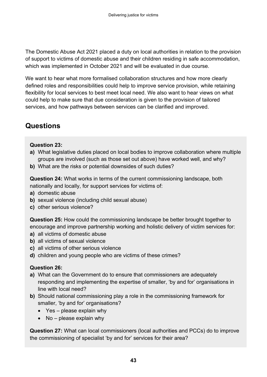The Domestic Abuse Act 2021 placed a duty on local authorities in relation to the provision of support to victims of domestic abuse and their children residing in safe accommodation, which was implemented in October 2021 and will be evaluated in due course.

We want to hear what more formalised collaboration structures and how more clearly defined roles and responsibilities could help to improve service provision, while retaining flexibility for local services to best meet local need. We also want to hear views on what could help to make sure that due consideration is given to the provision of tailored services, and how pathways between services can be clarified and improved.

## **Questions**

#### **Question 23:**

- **a)** What legislative duties placed on local bodies to improve collaboration where multiple groups are involved (such as those set out above) have worked well, and why?
- **b)** What are the risks or potential downsides of such duties?

**Question 24:** What works in terms of the current commissioning landscape, both nationally and locally, for support services for victims of:

- **a)** domestic abuse
- **b)** sexual violence (including child sexual abuse)
- **c)** other serious violence?

**Question 25:** How could the commissioning landscape be better brought together to encourage and improve partnership working and holistic delivery of victim services for: **a)** all victims of domestic abuse

- **b)** all victims of sexual violence
- **c)** all victims of other serious violence
- **d)** children and young people who are victims of these crimes?

#### **Question 26:**

- **a)** What can the Government do to ensure that commissioners are adequately responding and implementing the expertise of smaller, 'by and for' organisations in line with local need?
- **b)** Should national commissioning play a role in the commissioning framework for smaller, 'by and for' organisations?
	- Yes please explain why
	- No please explain why

**Question 27:** What can local commissioners (local authorities and PCCs) do to improve the commissioning of specialist 'by and for' services for their area?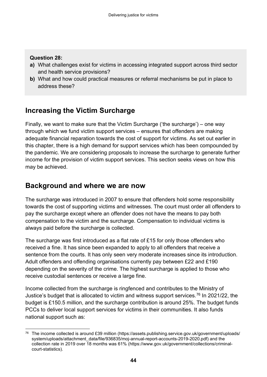#### **Question 28:**

- **a)** What challenges exist for victims in accessing integrated support across third sector and health service provisions?
- **b)** What and how could practical measures or referral mechanisms be put in place to address these?

## **Increasing the Victim Surcharge**

Finally, we want to make sure that the Victim Surcharge ('the surcharge') – one way through which we fund victim support services – ensures that offenders are making adequate financial reparation towards the cost of support for victims. As set out earlier in this chapter, there is a high demand for support services which has been compounded by the pandemic. We are considering proposals to increase the surcharge to generate further income for the provision of victim support services. This section seeks views on how this may be achieved.

### **Background and where we are now**

The surcharge was introduced in 2007 to ensure that offenders hold some responsibility towards the cost of supporting victims and witnesses. The court must order all offenders to pay the surcharge except where an offender does not have the means to pay both compensation to the victim and the surcharge. Compensation to individual victims is always paid before the surcharge is collected.

The surcharge was first introduced as a flat rate of £15 for only those offenders who received a fine. It has since been expanded to apply to all offenders that receive a sentence from the courts. It has only seen very moderate increases since its introduction. Adult offenders and offending organisations currently pay between £22 and £190 depending on the severity of the crime. The highest surcharge is applied to those who receive custodial sentences or receive a large fine.

Income collected from the surcharge is ringfenced and contributes to the Ministry of Justice's budget that is allocated to victim and witness support services.[76](#page-47-0) In 2021/22, the budget is £150.5 million, and the surcharge contribution is around 25%. The budget funds PCCs to deliver local support services for victims in their communities. It also funds national support such as:

<span id="page-47-0"></span><sup>&</sup>lt;sup>76</sup> The income collected is around £39 million [\(https://assets.publishing.service.gov.uk/government/uploads/](https://assets.publishing.service.gov.uk/government/uploads/system/uploads/attachment_data/file/936835/moj-annual-report-accounts-2019-2020.pdf) [system/uploads/attachment\\_data/file/936835/moj-annual-report-accounts-2019-2020.pdf\)](https://assets.publishing.service.gov.uk/government/uploads/system/uploads/attachment_data/file/936835/moj-annual-report-accounts-2019-2020.pdf) and the collection rate in 2019 over 18 months was 61% [\(https://www.gov.uk/government/collections/criminal](https://www.gov.uk/government/collections/criminal-court-statistics)[court-statistics\)](https://www.gov.uk/government/collections/criminal-court-statistics).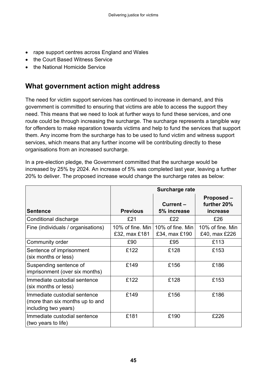- rape support centres across England and Wales
- the Court Based Witness Service
- the National Homicide Service

## **What government action might address**

The need for victim support services has continued to increase in demand, and this government is committed to ensuring that victims are able to access the support they need. This means that we need to look at further ways to fund these services, and one route could be through increasing the surcharge. The surcharge represents a tangible way for offenders to make reparation towards victims and help to fund the services that support them. Any income from the surcharge has to be used to fund victim and witness support services, which means that any further income will be contributing directly to these organisations from an increased surcharge.

In a pre-election pledge, the Government committed that the surcharge would be increased by 25% by 2024. An increase of 5% was completed last year, leaving a further 20% to deliver. The proposed increase would change the surcharge rates as below:

|                                                                                         | Surcharge rate                    |                                   |                                       |
|-----------------------------------------------------------------------------------------|-----------------------------------|-----------------------------------|---------------------------------------|
| <b>Sentence</b>                                                                         | <b>Previous</b>                   | Current-<br>5% increase           | Proposed –<br>further 20%<br>increase |
| Conditional discharge                                                                   | £21                               | £22                               | £26                                   |
| Fine (individuals / organisations)                                                      | 10% of fine. Min<br>£32, max £181 | 10% of fine. Min<br>£34, max £190 | 10% of fine. Min<br>£40, max £226     |
| Community order                                                                         | £90                               | £95                               | £113                                  |
| Sentence of imprisonment<br>(six months or less)                                        | £122                              | £128                              | £153                                  |
| Suspending sentence of<br>imprisonment (over six months)                                | £149                              | £156                              | £186                                  |
| Immediate custodial sentence<br>(six months or less)                                    | £122                              | £128                              | £153                                  |
| Immediate custodial sentence<br>(more than six months up to and<br>including two years) | £149                              | £156                              | £186                                  |
| Immediate custodial sentence<br>(two years to life)                                     | £181                              | £190                              | £226                                  |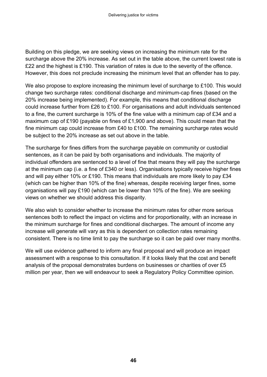Building on this pledge, we are seeking views on increasing the minimum rate for the surcharge above the 20% increase. As set out in the table above, the current lowest rate is £22 and the highest is £190. This variation of rates is due to the severity of the offence. However, this does not preclude increasing the minimum level that an offender has to pay.

We also propose to explore increasing the minimum level of surcharge to £100. This would change two surcharge rates: conditional discharge and minimum-cap fines (based on the 20% increase being implemented). For example, this means that conditional discharge could increase further from £26 to £100. For organisations and adult individuals sentenced to a fine, the current surcharge is 10% of the fine value with a minimum cap of £34 and a maximum cap of £190 (payable on fines of £1,900 and above). This could mean that the fine minimum cap could increase from £40 to £100. The remaining surcharge rates would be subject to the 20% increase as set out above in the table.

The surcharge for fines differs from the surcharge payable on community or custodial sentences, as it can be paid by both organisations and individuals. The majority of individual offenders are sentenced to a level of fine that means they will pay the surcharge at the minimum cap (i.e. a fine of £340 or less). Organisations typically receive higher fines and will pay either 10% or £190. This means that individuals are more likely to pay £34 (which can be higher than 10% of the fine) whereas, despite receiving larger fines, some organisations will pay £190 (which can be lower than 10% of the fine). We are seeking views on whether we should address this disparity.

We also wish to consider whether to increase the minimum rates for other more serious sentences both to reflect the impact on victims and for proportionality, with an increase in the minimum surcharge for fines and conditional discharges. The amount of income any increase will generate will vary as this is dependent on collection rates remaining consistent. There is no time limit to pay the surcharge so it can be paid over many months.

We will use evidence gathered to inform any final proposal and will produce an impact assessment with a response to this consultation. If it looks likely that the cost and benefit analysis of the proposal demonstrates burdens on businesses or charities of over £5 million per year, then we will endeavour to seek a Regulatory Policy Committee opinion.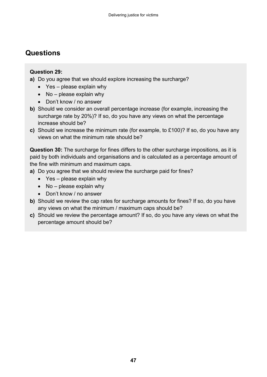## **Questions**

#### **Question 29:**

- **a)** Do you agree that we should explore increasing the surcharge?
	- Yes please explain why
	- No please explain why
	- Don't know / no answer
- **b)** Should we consider an overall percentage increase (for example, increasing the surcharge rate by 20%)? If so, do you have any views on what the percentage increase should be?
- **c)** Should we increase the minimum rate (for example, to £100)? If so, do you have any views on what the minimum rate should be?

**Question 30:** The surcharge for fines differs to the other surcharge impositions, as it is paid by both individuals and organisations and is calculated as a percentage amount of the fine with minimum and maximum caps.

- **a)** Do you agree that we should review the surcharge paid for fines?
	- Yes please explain why
	- $\bullet$  No please explain why
	- Don't know / no answer
- **b)** Should we review the cap rates for surcharge amounts for fines? If so, do you have any views on what the minimum / maximum caps should be?
- **c)** Should we review the percentage amount? If so, do you have any views on what the percentage amount should be?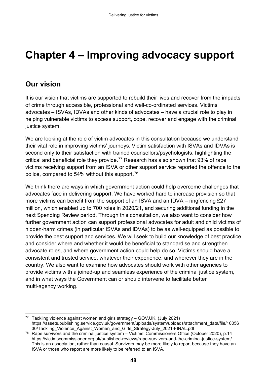## <span id="page-51-0"></span>**Chapter 4 – Improving advocacy support**

## **Our vision**

It is our vision that victims are supported to rebuild their lives and recover from the impacts of crime through accessible, professional and well-co-ordinated services. Victims' advocates – ISVAs, IDVAs and other kinds of advocates – have a crucial role to play in helping vulnerable victims to access support, cope, recover and engage with the criminal justice system.

We are looking at the role of victim advocates in this consultation because we understand their vital role in improving victims' journeys. Victim satisfaction with ISVAs and IDVAs is second only to their satisfaction with trained counsellors/psychologists, highlighting the critical and beneficial role they provide.[77](#page-51-1) Research has also shown that 93% of rape victims receiving support from an ISVA or other support service reported the offence to the police, compared to 54% without this support.[78](#page-51-2)

We think there are ways in which government action could help overcome challenges that advocates face in delivering support. We have worked hard to increase provision so that more victims can benefit from the support of an ISVA and an IDVA – ringfencing £27 million, which enabled up to 700 roles in 2020/21, and securing additional funding in the next Spending Review period. Through this consultation, we also want to consider how further government action can support professional advocates for adult and child victims of hidden-harm crimes (in particular ISVAs and IDVAs) to be as well-equipped as possible to provide the best support and services. We will seek to build our knowledge of best practice and consider where and whether it would be beneficial to standardise and strengthen advocate roles, and where government action could help do so. Victims should have a consistent and trusted service, whatever their experience, and wherever they are in the country. We also want to examine how advocates should work with other agencies to provide victims with a joined-up and seamless experience of the criminal justice system, and in what ways the Government can or should intervene to facilitate better multi-agency working.

<span id="page-51-1"></span><sup>77</sup> [Tackling violence against women and girls strategy – GOV.UK, \(July 2021\)](https://assets.publishing.service.gov.uk/government/uploads/system/uploads/attachment_data/file/1005630/Tackling_Violence_Against_Women_and_Girls_Strategy-July_2021-FINAL.pdf)  [https://assets.publishing.service.gov.uk/government/uploads/system/uploads/attachment\\_data/file/10056](https://assets.publishing.service.gov.uk/government/uploads/system/uploads/attachment_data/file/1005630/Tackling_Violence_Against_Women_and_Girls_Strategy-July_2021-FINAL.pdf) [30/Tackling\\_Violence\\_Against\\_Women\\_and\\_Girls\\_Strategy-July\\_2021-FINAL.pdf](https://assets.publishing.service.gov.uk/government/uploads/system/uploads/attachment_data/file/1005630/Tackling_Violence_Against_Women_and_Girls_Strategy-July_2021-FINAL.pdf)

<span id="page-51-2"></span> $\frac{5}{78}$  Rape survivors and the criminal justice system – Victims' Commissioners Office (October 2020), p.14 [https://victimscommissioner.org.uk/published-reviews/rape-survivors-and-the-criminal-justice-system/.](https://victimscommissioner.org.uk/published-reviews/rape-survivors-and-the-criminal-justice-system/) This is an association, rather than causal. Survivors may be more likely to report because they have an ISVA or those who report are more likely to be referred to an ISVA.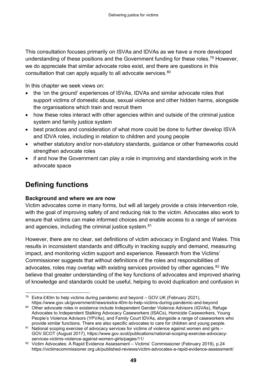This consultation focuses primarily on ISVAs and IDVAs as we have a more developed understanding of these positions and the Government funding for these roles.<sup>[79](#page-52-0)</sup> However, we do appreciate that similar advocate roles exist, and there are questions in this consultation that can apply equally to all advocate services.<sup>[80](#page-52-1)</sup>

In this chapter we seek views on:

- the 'on the ground' experiences of ISVAs, IDVAs and similar advocate roles that support victims of domestic abuse, sexual violence and other hidden harms, alongside the organisations which train and recruit them
- how these roles interact with other agencies within and outside of the criminal justice system and family justice system
- best practices and consideration of what more could be done to further develop ISVA and IDVA roles, including in relation to children and young people
- whether statutory and/or non-statutory standards, guidance or other frameworks could strengthen advocate roles
- if and how the Government can play a role in improving and standardising work in the advocate space

## **Defining functions**

#### **Background and where we are now**

Victim advocates come in many forms, but will all largely provide a crisis intervention role, with the goal of improving safety of and reducing risk to the victim. Advocates also work to ensure that victims can make informed choices and enable access to a range of services and agencies, including the criminal justice system.<sup>81</sup>

However, there are no clear, set definitions of victim advocacy in England and Wales. This results in inconsistent standards and difficulty in tracking supply and demand, measuring impact, and monitoring victim support and experience. Research from the Victims' Commissioner suggests that without definitions of the roles and responsibilities of advocates, roles may overlap with existing services provided by other agencies.<sup>[82](#page-52-3)</sup> We believe that greater understanding of the key functions of advocates and improved sharing of knowledge and standards could be useful, helping to avoid duplication and confusion in

<span id="page-52-0"></span> $79$  Extra £40m to help victims during pandemic and beyond – GOV.UK (February 2021), <https://www.gov.uk/government/news/extra-40m-to-help-victims-during-pandemic-and-beyond>

<span id="page-52-1"></span><sup>80</sup> Other advocate roles in existence include Independent Gender Violence Advisors (IGVAs), Refuge Advocates to Independent Stalking Advocacy Caseworkers (ISACs), Homicide Caseworkers, Young People's Violence Advisors (YPVAs), and Family Court IDVAs, alongside a range of caseworkers who provide similar functions. There are also specific advocates to care for children and young people.

<span id="page-52-2"></span><sup>81</sup> National scoping exercise of advocacy services for victims of violence against women and girls -GOV.SCOT (August 2017), [https://www.gov.scot/publications/national-scoping-exercise-advocacy](https://www.gov.scot/publications/national-scoping-exercise-advocacy-services-victims-violence-against-women-girls/pages/11/)[services-victims-violence-against-women-girls/pages/11/](https://www.gov.scot/publications/national-scoping-exercise-advocacy-services-victims-violence-against-women-girls/pages/11/)

<span id="page-52-3"></span><sup>82</sup> Victim Advocates: A Rapid Evidence Assessment – Victims' Commissioner (February 2019), p.24 <https://victimscommissioner.org.uk/published-reviews/victim-advocates-a-rapid-evidence-assessment/>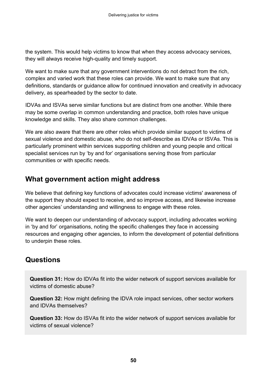the system. This would help victims to know that when they access advocacy services, they will always receive high-quality and timely support.

We want to make sure that any government interventions do not detract from the rich, complex and varied work that these roles can provide. We want to make sure that any definitions, standards or guidance allow for continued innovation and creativity in advocacy delivery, as spearheaded by the sector to date.

IDVAs and ISVAs serve similar functions but are distinct from one another. While there may be some overlap in common understanding and practice, both roles have unique knowledge and skills. They also share common challenges.

We are also aware that there are other roles which provide similar support to victims of sexual violence and domestic abuse, who do not self-describe as IDVAs or ISVAs. This is particularly prominent within services supporting children and young people and critical specialist services run by 'by and for' organisations serving those from particular communities or with specific needs.

## **What government action might address**

We believe that defining key functions of advocates could increase victims' awareness of the support they should expect to receive, and so improve access, and likewise increase other agencies' understanding and willingness to engage with these roles.

We want to deepen our understanding of advocacy support, including advocates working in 'by and for' organisations, noting the specific challenges they face in accessing resources and engaging other agencies, to inform the development of potential definitions to underpin these roles.

## **Questions**

**Question 31:** How do IDVAs fit into the wider network of support services available for victims of domestic abuse?

**Question 32:** How might defining the IDVA role impact services, other sector workers and IDVAs themselves?

**Question 33:** How do ISVAs fit into the wider network of support services available for victims of sexual violence?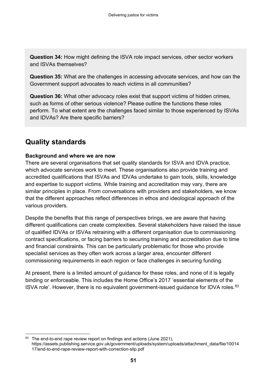**Question 34:** How might defining the ISVA role impact services, other sector workers and ISVAs themselves?

**Question 35:** What are the challenges in accessing advocate services, and how can the Government support advocates to reach victims in all communities?

**Question 36:** What other advocacy roles exist that support victims of hidden crimes, such as forms of other serious violence? Please outline the functions these roles perform. To what extent are the challenges faced similar to those experienced by ISVAs and IDVAs? Are there specific barriers?

## **Quality standards**

#### **Background and where we are now**

There are several organisations that set quality standards for ISVA and IDVA practice, which advocate services work to meet. These organisations also provide training and accredited qualifications that ISVAs and IDVAs undertake to gain tools, skills, knowledge and expertise to support victims. While training and accreditation may vary, there are similar principles in place. From conversations with providers and stakeholders, we know that the different approaches reflect differences in ethos and ideological approach of the various providers.

Despite the benefits that this range of perspectives brings, we are aware that having different qualifications can create complexities. Several stakeholders have raised the issue of qualified IDVAs or ISVAs retraining with a different organisation due to commissioning contract specifications, or facing barriers to securing training and accreditation due to time and financial constraints. This can be particularly problematic for those who provide specialist services as they often work across a larger area, encounter different commissioning requirements in each region or face challenges in securing funding.

At present, there is a limited amount of guidance for these roles, and none of it is legally binding or enforceable. This includes the Home Office's 2017 'essential elements of the ISVA role'. However, there is no equivalent government-issued quidance for IDVA roles.<sup>[83](#page-54-0)</sup>

<span id="page-54-0"></span><sup>83</sup> The end-to-end rape review report on findings and actions (June 2021), [https://assets.publishing.service.gov.uk/government/uploads/system/uploads/attachment\\_data/file/10014](https://assets.publishing.service.gov.uk/government/uploads/system/uploads/attachment_data/file/1001417/end-to-end-rape-review-report-with-correction-slip.pdf) [17/end-to-end-rape-review-report-with-correction-slip.pdf](https://assets.publishing.service.gov.uk/government/uploads/system/uploads/attachment_data/file/1001417/end-to-end-rape-review-report-with-correction-slip.pdf)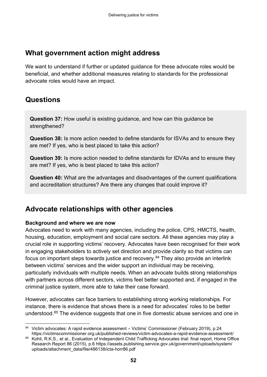## **What government action might address**

We want to understand if further or updated guidance for these advocate roles would be beneficial, and whether additional measures relating to standards for the professional advocate roles would have an impact.

## **Questions**

**Question 37:** How useful is existing guidance, and how can this guidance be strengthened?

**Question 38:** Is more action needed to define standards for ISVAs and to ensure they are met? If yes, who is best placed to take this action?

**Question 39:** Is more action needed to define standards for IDVAs and to ensure they are met? If yes, who is best placed to take this action?

**Question 40:** What are the advantages and disadvantages of the current qualifications and accreditation structures? Are there any changes that could improve it?

### **Advocate relationships with other agencies**

#### **Background and where we are now**

Advocates need to work with many agencies, including the police, CPS, HMCTS, health, housing, education, employment and social care sectors. All these agencies may play a crucial role in supporting victims' recovery. Advocates have been recognised for their work in engaging stakeholders to actively set direction and provide clarity so that victims can focus on important steps towards justice and recovery.<sup>[84](#page-55-0)</sup> They also provide an interlink between victims' services and the wider support an individual may be receiving, particularly individuals with multiple needs. When an advocate builds strong relationships with partners across different sectors, victims feel better supported and, if engaged in the criminal justice system, more able to take their case forward.

However, advocates can face barriers to establishing strong working relationships. For instance, there is evidence that shows there is a need for advocates' roles to be better understood.<sup>85</sup> The evidence suggests that one in five domestic abuse services and one in

<span id="page-55-0"></span><sup>&</sup>lt;sup>84</sup> Victim advocates: A rapid evidence assessment – Victims' Commissioner (February 2019), p.24<br>https://victimscommissioner.org.uk/published-reviews/victim-advocates-a-rapid-evidence-assessment/

<span id="page-55-1"></span><sup>85</sup> Kohli, R.K.S., et al., Evaluation of Independent Child Trafficking Advocates trial: final report, Home Office Research Report 86 (2015), p.6 [https://assets.publishing.service.gov.uk/government/uploads/system/](https://assets.publishing.service.gov.uk/government/uploads/system/uploads/attachment_data/file/486138/icta-horr86.pdf) [uploads/attachment\\_data/file/486138/icta-horr86.pdf](https://assets.publishing.service.gov.uk/government/uploads/system/uploads/attachment_data/file/486138/icta-horr86.pdf)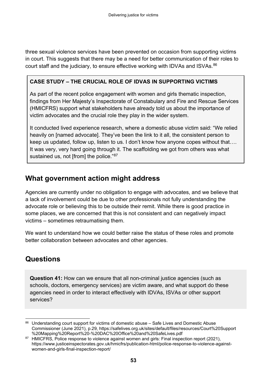three sexual violence services have been prevented on occasion from supporting victims in court. This suggests that there may be a need for better communication of their roles to court staff and the judiciary, to ensure effective working with IDVAs and ISVAs.<sup>[86](#page-56-0)</sup>

#### **CASE STUDY – THE CRUCIAL ROLE OF IDVAS IN SUPPORTING VICTIMS**

As part of the recent police engagement with women and girls thematic inspection, findings from Her Majesty's Inspectorate of Constabulary and Fire and Rescue Services (HMICFRS) support what stakeholders have already told us about the importance of victim advocates and the crucial role they play in the wider system.

It conducted lived experience research, where a domestic abuse victim said: "We relied heavily on [named advocate]. They've been the link to it all, the consistent person to keep us updated, follow up, listen to us. I don't know how anyone copes without that…. It was very, very hard going through it. The scaffolding we got from others was what sustained us, not [from] the police."[87](#page-56-1)

## **What government action might address**

Agencies are currently under no obligation to engage with advocates, and we believe that a lack of involvement could be due to other professionals not fully understanding the advocate role or believing this to be outside their remit. While there is good practice in some places, we are concerned that this is not consistent and can negatively impact victims – sometimes retraumatising them.

We want to understand how we could better raise the status of these roles and promote better collaboration between advocates and other agencies.

## **Questions**

**Question 41:** How can we ensure that all non-criminal justice agencies (such as schools, doctors, emergency services) are victim aware, and what support do these agencies need in order to interact effectively with IDVAs, ISVAs or other support services?

<span id="page-56-0"></span><sup>86</sup> Understanding court support for victims of domestic abuse – Safe Lives and Domestic Abuse Commissioner (June 2021), p.29, [https://safelives.org.uk/sites/default/files/resources/Court%20Support](https://safelives.org.uk/sites/default/files/resources/Court%20Support%20Mapping%20Report%20-%20DAC%20Office%20and%20SafeLives.pdf)

<span id="page-56-1"></span><sup>87</sup> HMICFRS, Police response to violence against women and girls: Final inspection report (2021), [https://www.justiceinspectorates.gov.uk/hmicfrs/publication-html/police-response-to-violence-against](https://www.justiceinspectorates.gov.uk/hmicfrs/publication-html/police-response-to-violence-against-women-and-girls-final-inspection-report/)[women-and-girls-final-inspection-report/](https://www.justiceinspectorates.gov.uk/hmicfrs/publication-html/police-response-to-violence-against-women-and-girls-final-inspection-report/)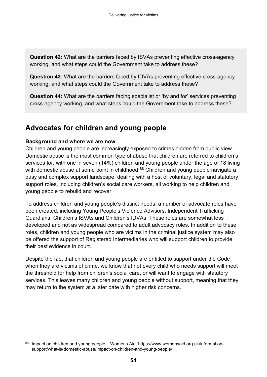**Question 42:** What are the barriers faced by ISVAs preventing effective cross-agency working, and what steps could the Government take to address these?

**Question 43:** What are the barriers faced by IDVAs preventing effective cross-agency working, and what steps could the Government take to address these?

**Question 44:** What are the barriers facing specialist or 'by and for' services preventing cross-agency working, and what steps could the Government take to address these?

## **Advocates for children and young people**

#### **Background and where we are now**

Children and young people are increasingly exposed to crimes hidden from public view. Domestic abuse is the most common type of abuse that children are referred to children's services for, with one in seven (14%) children and young people under the age of 18 living with domestic abuse at some point in childhood.<sup>[88](#page-57-0)</sup> Children and young people navigate a busy and complex support landscape, dealing with a host of voluntary, legal and statutory support roles, including children's social care workers, all working to help children and young people to rebuild and recover.

To address children and young people's distinct needs, a number of advocate roles have been created, including Young People's Violence Advisors, Independent Trafficking Guardians, Children's ISVAs and Children's IDVAs. These roles are somewhat less developed and not as widespread compared to adult advocacy roles. In addition to these roles, children and young people who are victims in the criminal justice system may also be offered the support of Registered Intermediaries who will support children to provide their best evidence in court.

Despite the fact that children and young people are entitled to support under the Code when they are victims of crime, we know that not every child who needs support will meet the threshold for help from children's social care, or will want to engage with statutory services. This leaves many children and young people without support, meaning that they may return to the system at a later date with higher risk concerns.

<span id="page-57-0"></span><sup>88</sup> Impact on children and young people – Womens Aid, [https://www.womensaid.org.uk/information](https://www.womensaid.org.uk/information-support/what-is-domestic-abuse/impact-on-children-and-young-people/)[support/what-is-domestic-abuse/impact-on-children-and-young-people/](https://www.womensaid.org.uk/information-support/what-is-domestic-abuse/impact-on-children-and-young-people/)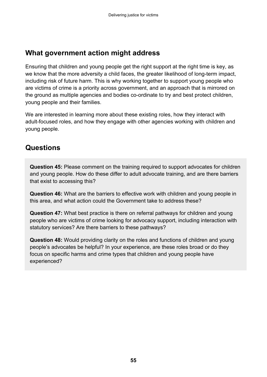## **What government action might address**

Ensuring that children and young people get the right support at the right time is key, as we know that the more adversity a child faces, the greater likelihood of long-term impact, including risk of future harm. This is why working together to support young people who are victims of crime is a priority across government, and an approach that is mirrored on the ground as multiple agencies and bodies co-ordinate to try and best protect children, young people and their families.

We are interested in learning more about these existing roles, how they interact with adult-focused roles, and how they engage with other agencies working with children and young people.

## **Questions**

**Question 45:** Please comment on the training required to support advocates for children and young people. How do these differ to adult advocate training, and are there barriers that exist to accessing this?

**Question 46:** What are the barriers to effective work with children and young people in this area, and what action could the Government take to address these?

**Question 47:** What best practice is there on referral pathways for children and young people who are victims of crime looking for advocacy support, including interaction with statutory services? Are there barriers to these pathways?

**Question 48:** Would providing clarity on the roles and functions of children and young people's advocates be helpful? In your experience, are these roles broad or do they focus on specific harms and crime types that children and young people have experienced?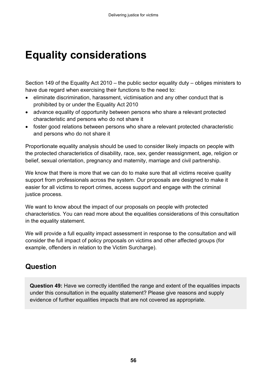## <span id="page-59-0"></span>**Equality considerations**

Section 149 of the Equality Act 2010 – the public sector equality duty – obliges ministers to have due regard when exercising their functions to the need to:

- eliminate discrimination, harassment, victimisation and any other conduct that is prohibited by or under the Equality Act 2010
- advance equality of opportunity between persons who share a relevant protected characteristic and persons who do not share it
- foster good relations between persons who share a relevant protected characteristic and persons who do not share it

Proportionate equality analysis should be used to consider likely impacts on people with the protected characteristics of disability, race, sex, gender reassignment, age, religion or belief, sexual orientation, pregnancy and maternity, marriage and civil partnership.

We know that there is more that we can do to make sure that all victims receive quality support from professionals across the system. Our proposals are designed to make it easier for all victims to report crimes, access support and engage with the criminal justice process.

We want to know about the impact of our proposals on people with protected characteristics. You can read more about the equalities considerations of this consultation in the equality statement.

We will provide a full equality impact assessment in response to the consultation and will consider the full impact of policy proposals on victims and other affected groups (for example, offenders in relation to the Victim Surcharge).

## **Question**

**Question 49:** Have we correctly identified the range and extent of the equalities impacts under this consultation in the equality statement? Please give reasons and supply evidence of further equalities impacts that are not covered as appropriate.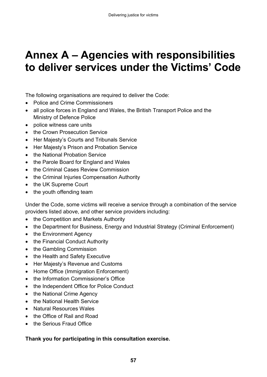## <span id="page-60-0"></span>**Annex A – Agencies with responsibilities to deliver services under the Victims' Code**

The following organisations are required to deliver the Code:

- Police and Crime Commissioners
- all police forces in England and Wales, the British Transport Police and the Ministry of Defence Police
- police witness care units
- the Crown Prosecution Service
- Her Majesty's Courts and Tribunals Service
- Her Majesty's Prison and Probation Service
- the National Probation Service
- the Parole Board for England and Wales
- the Criminal Cases Review Commission
- the Criminal Injuries Compensation Authority
- the UK Supreme Court
- the youth offending team

Under the Code, some victims will receive a service through a combination of the service providers listed above, and other service providers including:

- the Competition and Markets Authority
- the Department for Business, Energy and Industrial Strategy (Criminal Enforcement)
- the Environment Agency
- the Financial Conduct Authority
- the Gambling Commission
- the Health and Safety Executive
- Her Majesty's Revenue and Customs
- Home Office (Immigration Enforcement)
- the Information Commissioner's Office
- the Independent Office for Police Conduct
- the National Crime Agency
- the National Health Service
- Natural Resources Wales
- the Office of Rail and Road
- the Serious Fraud Office

#### **Thank you for participating in this consultation exercise.**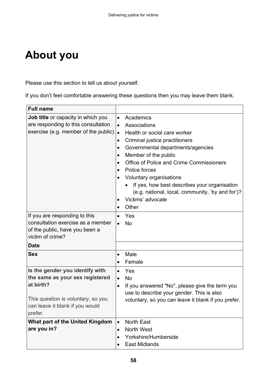## <span id="page-61-0"></span>**About you**

Please use this section to tell us about yourself.

If you don't feel comfortable answering these questions then you may leave them blank.

| <b>Full name</b>                                                                                                                                                                               |                                                                                                                                                                                                                                                                                                                                                                                                                                                                                      |
|------------------------------------------------------------------------------------------------------------------------------------------------------------------------------------------------|--------------------------------------------------------------------------------------------------------------------------------------------------------------------------------------------------------------------------------------------------------------------------------------------------------------------------------------------------------------------------------------------------------------------------------------------------------------------------------------|
| <b>Job title</b> or capacity in which you<br>are responding to this consultation<br>exercise (e.g. member of the public)<br>If you are responding to this<br>consultation exercise as a member | Academics<br>$\bullet$<br>Associations<br>$\bullet$<br>Health or social care worker<br>$\bullet$<br>Criminal justice practitioners<br>$\bullet$<br>Governmental departments/agencies<br>$\bullet$<br>Member of the public<br>Office of Police and Crime Commissioners<br>Police forces<br>$\bullet$<br>Voluntary organisations<br>If yes, how best describes your organisation<br>(e.g. national, local, community, 'by and for')?<br>Victims' advocate<br>Other<br>Yes<br>$\bullet$ |
| of the public, have you been a<br>victim of crime?                                                                                                                                             | <b>No</b>                                                                                                                                                                                                                                                                                                                                                                                                                                                                            |
| <b>Date</b>                                                                                                                                                                                    |                                                                                                                                                                                                                                                                                                                                                                                                                                                                                      |
| <b>Sex</b>                                                                                                                                                                                     | Male<br>$\bullet$<br>Female                                                                                                                                                                                                                                                                                                                                                                                                                                                          |
| Is the gender you identify with<br>the same as your sex registered<br>at birth?<br>This question is voluntary, so you<br>can leave it blank if you would<br>prefer.                            | Yes<br>$\bullet$<br><b>No</b><br>$\bullet$<br>If you answered "No", please give the term you<br>$\bullet$<br>use to describe your gender. This is also<br>voluntary, so you can leave it blank if you prefer.                                                                                                                                                                                                                                                                        |
| <b>What part of the United Kingdom</b><br>are you in?                                                                                                                                          | <b>North East</b><br>$\bullet$<br>North West<br>$\bullet$<br>Yorkshire/Humberside<br><b>East Midlands</b>                                                                                                                                                                                                                                                                                                                                                                            |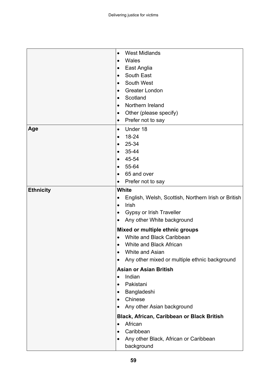|                  | <b>West Midlands</b><br>$\bullet$                          |  |
|------------------|------------------------------------------------------------|--|
|                  | Wales<br>$\bullet$                                         |  |
|                  | East Anglia                                                |  |
|                  | South East<br>$\bullet$                                    |  |
|                  | South West<br>٠                                            |  |
|                  | <b>Greater London</b><br>$\bullet$                         |  |
|                  | Scotland<br>٠                                              |  |
|                  | Northern Ireland<br>$\bullet$                              |  |
|                  | Other (please specify)<br>$\bullet$                        |  |
|                  | Prefer not to say<br>$\bullet$                             |  |
| Age              | Under 18<br>$\bullet$                                      |  |
|                  | 18-24<br>$\bullet$                                         |  |
|                  | 25-34<br>٠                                                 |  |
|                  | 35-44<br>٠                                                 |  |
|                  | 45-54<br>$\bullet$                                         |  |
|                  | 55-64<br>$\bullet$                                         |  |
|                  | 65 and over<br>$\bullet$                                   |  |
|                  | Prefer not to say<br>٠                                     |  |
| <b>Ethnicity</b> | <b>White</b>                                               |  |
|                  | English, Welsh, Scottish, Northern Irish or British<br>٠   |  |
|                  | Irish<br>$\bullet$                                         |  |
|                  | <b>Gypsy or Irish Traveller</b><br>$\bullet$               |  |
|                  | Any other White background<br>$\bullet$                    |  |
|                  | Mixed or multiple ethnic groups                            |  |
|                  | White and Black Caribbean<br>$\bullet$                     |  |
|                  | White and Black African<br>$\bullet$                       |  |
|                  | White and Asian<br>٠                                       |  |
|                  | Any other mixed or multiple ethnic background<br>$\bullet$ |  |
|                  |                                                            |  |
|                  | <b>Asian or Asian British</b>                              |  |
|                  | Indian<br>$\bullet$                                        |  |
|                  | Pakistani<br>$\bullet$                                     |  |
|                  | Bangladeshi<br>$\bullet$                                   |  |
|                  | Chinese<br>$\bullet$                                       |  |
|                  | Any other Asian background<br>$\bullet$                    |  |
|                  | Black, African, Caribbean or Black British                 |  |
|                  |                                                            |  |
|                  | African<br>$\bullet$                                       |  |
|                  | Caribbean<br>$\bullet$                                     |  |
|                  | Any other Black, African or Caribbean<br>$\bullet$         |  |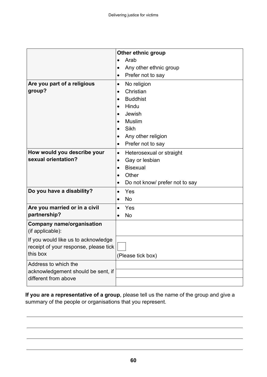|                                       | Other ethnic group                          |
|---------------------------------------|---------------------------------------------|
|                                       | Arab<br>$\bullet$                           |
|                                       | Any other ethnic group<br>$\bullet$         |
|                                       | Prefer not to say<br>$\bullet$              |
| Are you part of a religious           | No religion<br>$\bullet$                    |
| group?                                | Christian<br>$\bullet$                      |
|                                       | <b>Buddhist</b><br>$\bullet$                |
|                                       | Hindu<br>$\bullet$                          |
|                                       | Jewish<br>$\bullet$                         |
|                                       | <b>Muslim</b><br>$\bullet$                  |
|                                       | Sikh<br>$\bullet$                           |
|                                       | Any other religion                          |
|                                       | Prefer not to say<br>$\bullet$              |
| How would you describe your           | Heterosexual or straight<br>$\bullet$       |
| sexual orientation?                   | Gay or lesbian<br>$\bullet$                 |
|                                       | <b>Bisexual</b><br>$\bullet$                |
|                                       | Other<br>$\bullet$                          |
|                                       | Do not know/ prefer not to say<br>$\bullet$ |
| Do you have a disability?             | Yes<br>$\bullet$                            |
|                                       | No<br>$\bullet$                             |
| Are you married or in a civil         | Yes<br>$\bullet$                            |
| partnership?                          | No<br>$\bullet$                             |
| <b>Company name/organisation</b>      |                                             |
| (if applicable):                      |                                             |
| If you would like us to acknowledge   |                                             |
| receipt of your response, please tick |                                             |
| this box                              | (Please tick box)                           |
| Address to which the                  |                                             |
| acknowledgement should be sent, if    |                                             |
| different from above                  |                                             |
|                                       |                                             |

**If you are a representative of a group**, please tell us the name of the group and give a summary of the people or organisations that you represent.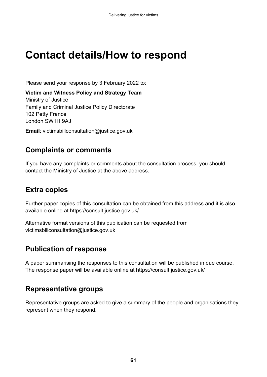## <span id="page-64-0"></span>**Contact details/How to respond**

Please send your response by 3 February 2022 to:

**Victim and Witness Policy and Strategy Team**  Ministry of Justice Family and Criminal Justice Policy Directorate 102 Petty France London SW1H 9AJ

**Email**: [victimsbillconsultation@justice.gov.uk](mailto:victimsbillconsultation@justice.gov.uk)

### **Complaints or comments**

If you have any complaints or comments about the consultation process, you should contact the Ministry of Justice at the above address.

### **Extra copies**

Further paper copies of this consultation can be obtained from this address and it is also available online at<https://consult.justice.gov.uk/>

Alternative format versions of this publication can be requested from [victimsbillconsultation@justice.gov.uk](mailto:victimsbillconsultation@justice.gov.uk)

### **Publication of response**

A paper summarising the responses to this consultation will be published in due course. The response paper will be available online at<https://consult.justice.gov.uk/>

### **Representative groups**

Representative groups are asked to give a summary of the people and organisations they represent when they respond.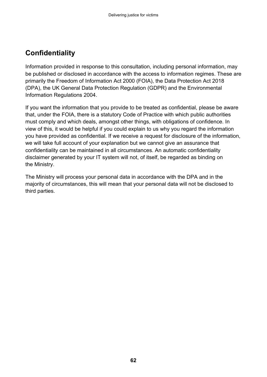## **Confidentiality**

Information provided in response to this consultation, including personal information, may be published or disclosed in accordance with the access to information regimes. These are primarily the Freedom of Information Act 2000 (FOIA), the Data Protection Act 2018 (DPA), the UK General Data Protection Regulation (GDPR) and the Environmental Information Regulations 2004.

If you want the information that you provide to be treated as confidential, please be aware that, under the FOIA, there is a statutory Code of Practice with which public authorities must comply and which deals, amongst other things, with obligations of confidence. In view of this, it would be helpful if you could explain to us why you regard the information you have provided as confidential. If we receive a request for disclosure of the information, we will take full account of your explanation but we cannot give an assurance that confidentiality can be maintained in all circumstances. An automatic confidentiality disclaimer generated by your IT system will not, of itself, be regarded as binding on the Ministry.

The Ministry will process your personal data in accordance with the DPA and in the majority of circumstances, this will mean that your personal data will not be disclosed to third parties.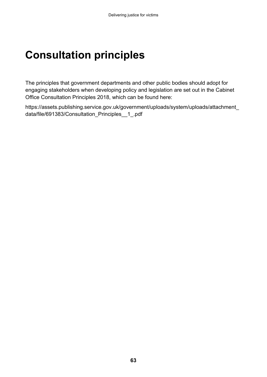## <span id="page-66-0"></span>**Consultation principles**

The principles that government departments and other public bodies should adopt for engaging stakeholders when developing policy and legislation are set out in the Cabinet Office Consultation Principles 2018, which can be found here:

[https://assets.publishing.service.gov.uk/government/uploads/system/uploads/attachment\\_](https://assets.publishing.service.gov.uk/government/uploads/system/uploads/attachment_data/file/691383/Consultation_Principles__1_.pdf) [data/file/691383/Consultation\\_Principles\\_\\_1\\_.pdf](https://assets.publishing.service.gov.uk/government/uploads/system/uploads/attachment_data/file/691383/Consultation_Principles__1_.pdf)